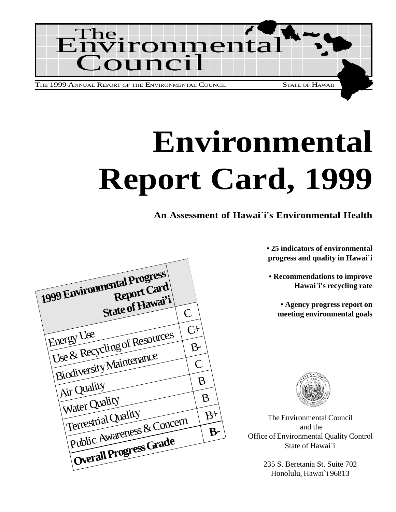

# **Environmental Report Card, 1999**

**An Assessment of Hawai`i's Environmental Health**

**• 25 indicators of environmental progress and quality in Hawai`i**

**• Recommendations to improve Hawai`i's recycling rate**

**• Agency progress report on meeting environmental goals**



The Environmental Council and the Office of Environmental Quality Control State of Hawai`i

> 235 S. Beretania St. Suite 702 Honolulu, Hawai`i 96813

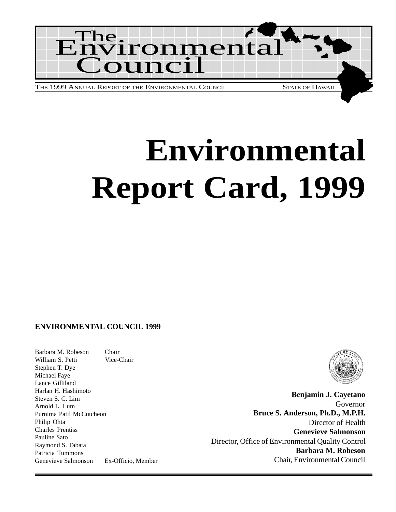

# **Environmental Report Card, 1999**

#### **ENVIRONMENTAL COUNCIL 1999**

Barbara M. Robeson Chair William S. Petti Vice-Chair Stephen T. Dye Michael Faye Lance Gilliland Harlan H. Hashimoto Steven S. C. Lim Arnold L. Lum Purnima Patil McCutcheon Philip Ohta Charles Prentiss Pauline Sato Raymond S. Tabata Patricia Tummons Genevieve Salmonson Ex-Officio, Member



**Benjamin J. Cayetano** Governor **Bruce S. Anderson, Ph.D., M.P.H.** Director of Health **Genevieve Salmonson** Director, Office of Environmental Quality Control **Barbara M. Robeson** Chair, Environmental Council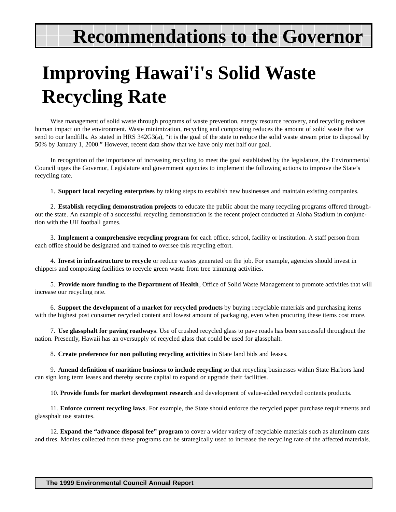# **Recommendations to the Governor**

# **Improving Hawai'i's Solid Waste Recycling Rate**

Wise management of solid waste through programs of waste prevention, energy resource recovery, and recycling reduces human impact on the environment. Waste minimization, recycling and composting reduces the amount of solid waste that we send to our landfills. As stated in HRS 342G3(a), "it is the goal of the state to reduce the solid waste stream prior to disposal by 50% by January 1, 2000." However, recent data show that we have only met half our goal.

In recognition of the importance of increasing recycling to meet the goal established by the legislature, the Environmental Council urges the Governor, Legislature and government agencies to implement the following actions to improve the State's recycling rate.

1. **Support local recycling enterprises** by taking steps to establish new businesses and maintain existing companies.

2. **Establish recycling demonstration projects** to educate the public about the many recycling programs offered throughout the state. An example of a successful recycling demonstration is the recent project conducted at Aloha Stadium in conjunction with the UH football games.

3. **Implement a comprehensive recycling program** for each office, school, facility or institution. A staff person from each office should be designated and trained to oversee this recycling effort.

4. **Invest in infrastructure to recycle** or reduce wastes generated on the job. For example, agencies should invest in chippers and composting facilities to recycle green waste from tree trimming activities.

5. **Provide more funding to the Department of Health**, Office of Solid Waste Management to promote activities that will increase our recycling rate.

6. **Support the development of a market for recycled products** by buying recyclable materials and purchasing items with the highest post consumer recycled content and lowest amount of packaging, even when procuring these items cost more.

7. **Use glassphalt for paving roadways**. Use of crushed recycled glass to pave roads has been successful throughout the nation. Presently, Hawaii has an oversupply of recycled glass that could be used for glassphalt.

8. **Create preference for non polluting recycling activities** in State land bids and leases.

9. **Amend definition of maritime business to include recycling** so that recycling businesses within State Harbors land can sign long term leases and thereby secure capital to expand or upgrade their facilities.

10. **Provide funds for market development research** and development of value-added recycled contents products.

11. **Enforce current recycling laws**. For example, the State should enforce the recycled paper purchase requirements and glassphalt use statutes.

12. **Expand the "advance disposal fee" program** to cover a wider variety of recyclable materials such as aluminum cans and tires. Monies collected from these programs can be strategically used to increase the recycling rate of the affected materials.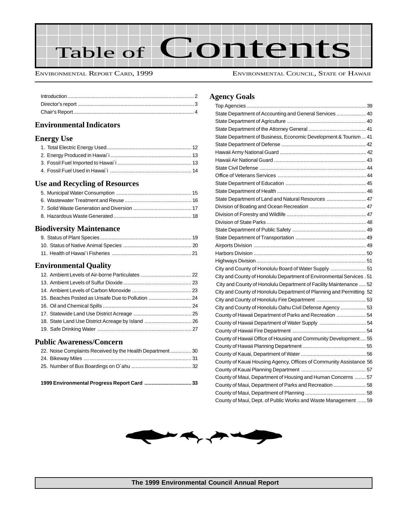

ENVIRONMENTAL REPORT CARD, 1999 ENVIRONMENTAL COUNCIL, STATE OF HAWAII

#### **Environmental Indicators**

#### **Energy Use**

#### **Use and Recycling of Resources**

#### **Biodiversity Maintenance**

#### **Environmental Quality**

### **Public Awareness/Concern**

| 1999 Environmental Progress Report Card  33               |  |
|-----------------------------------------------------------|--|
|                                                           |  |
|                                                           |  |
| 22. Noise Complaints Received by the Health Department 30 |  |

#### **Agency Goals**

| State Department of Accounting and General Services  40               |  |
|-----------------------------------------------------------------------|--|
|                                                                       |  |
|                                                                       |  |
| State Department of Business, Economic Development & Tourism  41      |  |
|                                                                       |  |
|                                                                       |  |
|                                                                       |  |
|                                                                       |  |
|                                                                       |  |
|                                                                       |  |
|                                                                       |  |
| State Department of Land and Natural Resources  47                    |  |
|                                                                       |  |
|                                                                       |  |
|                                                                       |  |
|                                                                       |  |
|                                                                       |  |
|                                                                       |  |
|                                                                       |  |
|                                                                       |  |
| City and County of Honolulu Board of Water Supply  51                 |  |
| City and County of Honolulu Department of Environmental Services . 51 |  |
| City and County of Honolulu Department of Facility Maintenance  52    |  |
| City and County of Honolulu Department of Planning and Permitting 52  |  |
|                                                                       |  |
| City and County of Honolulu Oahu Civil Defense Agency  53             |  |
| County of Hawaii Department of Parks and Recreation  54               |  |
|                                                                       |  |
|                                                                       |  |
| County of Hawaii Office of Housing and Community Development 55       |  |
|                                                                       |  |
|                                                                       |  |
| County of Kauai Housing Agency, Offices of Community Assistance 56    |  |
|                                                                       |  |
| County of Maui, Department of Housing and Human Concerns  57          |  |
| County of Maui, Department of Parks and Recreation  58                |  |
|                                                                       |  |
| County of Maui, Dept. of Public Works and Waste Management  59        |  |

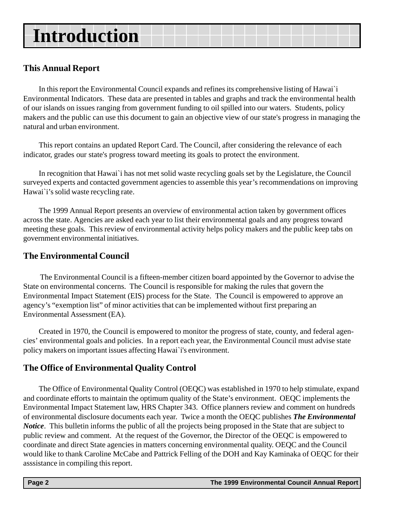# <span id="page-7-0"></span>**Introduction**

### **This Annual Report**

In this report the Environmental Council expands and refines its comprehensive listing of Hawai`i Environmental Indicators. These data are presented in tables and graphs and track the environmental health of our islands on issues ranging from government funding to oil spilled into our waters. Students, policy makers and the public can use this document to gain an objective view of our state's progress in managing the natural and urban environment.

This report contains an updated Report Card. The Council, after considering the relevance of each indicator, grades our state's progress toward meeting its goals to protect the environment.

In recognition that Hawai`i has not met solid waste recycling goals set by the Legislature, the Council surveyed experts and contacted government agencies to assemble this year's recommendations on improving Hawai`i's solid waste recycling rate.

The 1999 Annual Report presents an overview of environmental action taken by government offices across the state. Agencies are asked each year to list their environmental goals and any progress toward meeting these goals. This review of environmental activity helps policy makers and the public keep tabs on government environmental initiatives.

### **The Environmental Council**

The Environmental Council is a fifteen-member citizen board appointed by the Governor to advise the State on environmental concerns. The Council is responsible for making the rules that govern the Environmental Impact Statement (EIS) process for the State. The Council is empowered to approve an agency's "exemption list" of minor activities that can be implemented without first preparing an Environmental Assessment (EA).

Created in 1970, the Council is empowered to monitor the progress of state, county, and federal agencies' environmental goals and policies. In a report each year, the Environmental Council must advise state policy makers on important issues affecting Hawai`i's environment.

### **The Office of Environmental Quality Control**

The Office of Environmental Quality Control (OEQC) was established in 1970 to help stimulate, expand and coordinate efforts to maintain the optimum quality of the State's environment. OEQC implements the Environmental Impact Statement law, HRS Chapter 343. Office planners review and comment on hundreds of environmental disclosure documents each year. Twice a month the OEQC publishes *The Environmental Notice*. This bulletin informs the public of all the projects being proposed in the State that are subject to public review and comment. At the request of the Governor, the Director of the OEQC is empowered to coordinate and direct State agencies in matters concerning environmental quality. OEQC and the Council would like to thank Caroline McCabe and Pattrick Felling of the DOH and Kay Kaminaka of OEQC for their asssistance in compiling this report.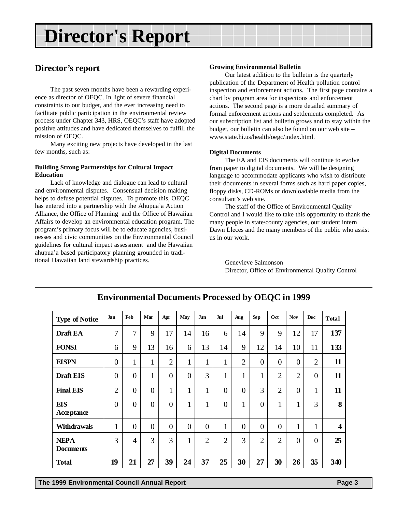# <span id="page-8-0"></span>**Director's Report**

### **Director's report**

The past seven months have been a rewarding experience as director of OEQC. In light of severe financial constraints to our budget, and the ever increasing need to facilitate public participation in the environmental review process under Chapter 343, HRS, OEQC's staff have adopted positive attitudes and have dedicated themselves to fulfill the mission of OEQC.

Many exciting new projects have developed in the last few months, such as:

#### **Building Strong Partnerships for Cultural Impact Education**

Lack of knowledge and dialogue can lead to cultural and environmental disputes. Consensual decision making helps to defuse potential disputes. To promote this, OEQC has entered into a partnership with the Ahupua'a Action Alliance, the Office of Planning and the Office of Hawaiian Affairs to develop an environmental education program. The program's primary focus will be to educate agencies, businesses and civic communities on the Environmental Council guidelines for cultural impact assessment and the Hawaiian ahupua'a based participatory planning grounded in traditional Hawaiian land stewardship practices.

#### **Growing Environmental Bulletin**

Our latest addition to the bulletin is the quarterly publication of the Department of Health pollution control inspection and enforcement actions. The first page contains a chart by program area for inspections and enforcement actions. The second page is a more detailed summary of formal enforcement actions and settlements completed. As our subscription list and bulletin grows and to stay within the budget, our bulletin can also be found on our web site – www.state.hi.us/health/oegc/index.html.

#### **Digital Documents**

The EA and EIS documents will continue to evolve from paper to digital documents. We will be designing language to accommodate applicants who wish to distribute their documents in several forms such as hard paper copies, floppy disks, CD-ROMs or downloadable media from the consultant's web site.

The staff of the Office of Environmental Quality Control and I would like to take this opportunity to thank the many people in state/county agencies, our student intern Dawn Lleces and the many members of the public who assist us in our work.

Genevieve Salmonson Director, Office of Environmental Quality Control

| <b>Type of Notice</b>           | Jan            | Feb            | Mar            | Apr            | May               | Jun               | Jul            | Aug            | <b>Sep</b>     | Oct            | <b>Nov</b>     | <b>Dec</b>     | <b>Total</b>            |
|---------------------------------|----------------|----------------|----------------|----------------|-------------------|-------------------|----------------|----------------|----------------|----------------|----------------|----------------|-------------------------|
| Draft EA                        | 7              | 7              | 9              | 17             | 14                | 16                | 6              | 14             | 9              | 9              | 12             | 17             | 137                     |
| <b>FONSI</b>                    | 6              | 9              | 13             | 16             | 6                 | 13                | 14             | 9              | 12             | 14             | 10             | 11             | 133                     |
| <b>EISPN</b>                    | $\overline{0}$ | 1<br>1         | $\mathbf{1}$   | $\overline{2}$ | 1<br>$\mathbf{I}$ | 1<br>-1           | 1              | $\overline{2}$ | $\theta$       | $\overline{0}$ | $\overline{0}$ | $\overline{2}$ | 11                      |
| <b>Draft EIS</b>                | $\overline{0}$ | $\overline{0}$ | 1              | $\overline{0}$ | $\overline{0}$    | 3                 | $\mathbf{1}$   | 1              | $\mathbf{1}$   | $\overline{2}$ | $\overline{2}$ | $\overline{0}$ | 11                      |
| <b>Final EIS</b>                | $\overline{2}$ | $\overline{0}$ | $\overline{0}$ | $\mathbf{1}$   | 1                 | 1<br>$\mathbf{I}$ | $\overline{0}$ | $\overline{0}$ | 3              | $\overline{2}$ | $\overline{0}$ | $\mathbf{1}$   | 11                      |
| <b>EIS</b><br>Acceptance        | $\overline{0}$ | $\overline{0}$ | $\overline{0}$ | $\overline{0}$ | $\mathbf{1}$      | 1                 | $\overline{0}$ | $\mathbf{1}$   | $\theta$       | $\mathbf{1}$   | $\mathbf{1}$   | 3              | 8                       |
| <b>Withdrawals</b>              | $\mathbf{1}$   | $\theta$       | $\overline{0}$ | $\overline{0}$ | $\Omega$          | $\overline{0}$    | 1              | $\overline{0}$ | $\theta$       | $\overline{0}$ | $\mathbf{1}$   | $\mathbf{1}$   | $\overline{\mathbf{4}}$ |
| <b>NEPA</b><br><b>Documents</b> | 3              | $\overline{4}$ | 3              | 3              | $\mathbf{1}$      | $\overline{2}$    | $\overline{2}$ | 3              | $\overline{2}$ | $\overline{2}$ | $\overline{0}$ | $\overline{0}$ | 25                      |
| <b>Total</b>                    | 19             | 21             | 27             | 39             | 24                | 37                | 25             | 30             | 27             | 30             | 26             | 35             | 340                     |

### **Environmental Documents Processed by OEQC in 1999**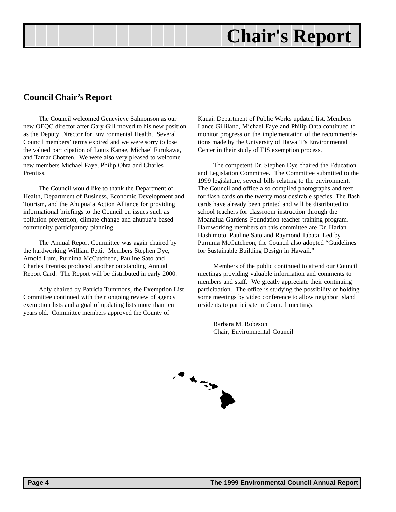# **Chair's Report**

### <span id="page-9-0"></span>**Council Chair's Report**

The Council welcomed Genevieve Salmonson as our new OEQC director after Gary Gill moved to his new position as the Deputy Director for Environmental Health. Several Council members' terms expired and we were sorry to lose the valued participation of Louis Kanae, Michael Furukawa, and Tamar Chotzen. We were also very pleased to welcome new members Michael Faye, Philip Ohta and Charles **Prentiss** 

The Council would like to thank the Department of Health, Department of Business, Economic Development and Tourism, and the Ahupua'a Action Alliance for providing informational briefings to the Council on issues such as pollution prevention, climate change and ahupua'a based community participatory planning.

The Annual Report Committee was again chaired by the hardworking William Petti. Members Stephen Dye, Arnold Lum, Purnima McCutcheon, Pauline Sato and Charles Prentiss produced another outstanding Annual Report Card. The Report will be distributed in early 2000.

Ably chaired by Patricia Tummons, the Exemption List Committee continued with their ongoing review of agency exemption lists and a goal of updating lists more than ten years old. Committee members approved the County of

Kauai, Department of Public Works updated list. Members Lance Gilliland, Michael Faye and Philip Ohta continued to monitor progress on the implementation of the recommendations made by the University of Hawai'i's Environmental Center in their study of EIS exemption process.

The competent Dr. Stephen Dye chaired the Education and Legislation Committee. The Committee submitted to the 1999 legislature, several bills relating to the environment. The Council and office also compiled photographs and text for flash cards on the twenty most desirable species. The flash cards have already been printed and will be distributed to school teachers for classroom instruction through the Moanalua Gardens Foundation teacher training program. Hardworking members on this committee are Dr. Harlan Hashimoto, Pauline Sato and Raymond Tabata. Led by Purnima McCutcheon, the Council also adopted "Guidelines for Sustainable Building Design in Hawaii."

Members of the public continued to attend our Council meetings providing valuable information and comments to members and staff. We greatly appreciate their continuing participation. The office is studying the possibility of holding some meetings by video conference to allow neighbor island residents to participate in Council meetings.

Barbara M. Robeson Chair, Environmental Council

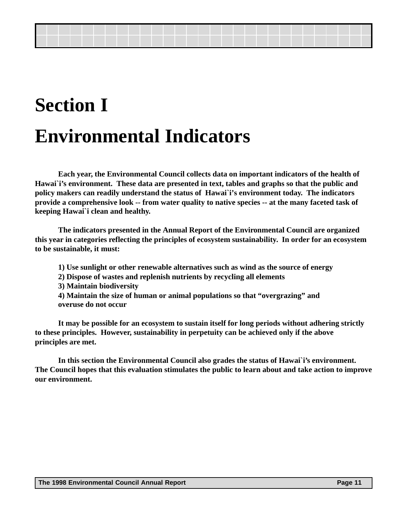# **Section I Environmental Indicators**

**Each year, the Environmental Council collects data on important indicators of the health of Hawai`i's environment. These data are presented in text, tables and graphs so that the public and policy makers can readily understand the status of Hawai`i's environment today. The indicators provide a comprehensive look -- from water quality to native species -- at the many faceted task of keeping Hawai`i clean and healthy.**

**The indicators presented in the Annual Report of the Environmental Council are organized this year in categories reflecting the principles of ecosystem sustainability. In order for an ecosystem to be sustainable, it must:**

- **1) Use sunlight or other renewable alternatives such as wind as the source of energy**
- **2) Dispose of wastes and replenish nutrients by recycling all elements**
- **3) Maintain biodiversity**
- **4) Maintain the size of human or animal populations so that "overgrazing" and overuse do not occur**

**It may be possible for an ecosystem to sustain itself for long periods without adhering strictly to these principles. However, sustainability in perpetuity can be achieved only if the above principles are met.**

**In this section the Environmental Council also grades the status of Hawai`i's environment. The Council hopes that this evaluation stimulates the public to learn about and take action to improve our environment.**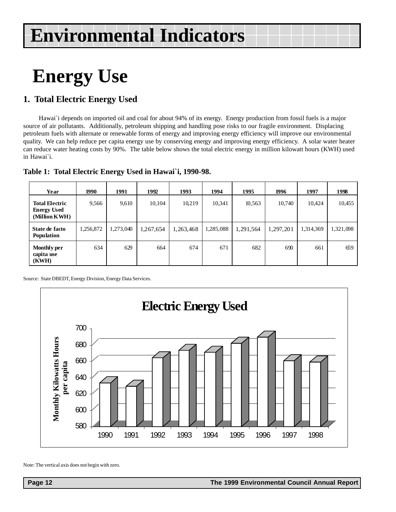# <span id="page-11-0"></span>**Energy Use**

# **1. Total Electric Energy Used**

Hawai`i depends on imported oil and coal for about 94% of its energy. Energy production from fossil fuels is a major source of air pollutants. Additionally, petroleum shipping and handling pose risks to our fragile environment. Displacing petroleum fuels with alternate or renewable forms of energy and improving energy efficiency will improve our environmental quality. We can help reduce per capita energy use by conserving energy and improving energy efficiency. A solar water heater can reduce water heating costs by 90%. The table below shows the total electric energy in million kilowatt hours (KWH) used in Hawai`i.

| Year                                                         | 1990      | 1991      | 1992      | 1993      | 1994      | 1995      | 1996      | 1997      | 1998      |
|--------------------------------------------------------------|-----------|-----------|-----------|-----------|-----------|-----------|-----------|-----------|-----------|
| <b>Total Electric</b><br><b>Energy Used</b><br>(Million KWH) | 9,566     | 9,610     | 10,104    | 10,219    | 10,341    | 10,563    | 10,740    | 10,424    | 10,455    |
| State de facto<br><b>Population</b>                          | 1,256,872 | 1,273,040 | 1,267,654 | 1,263,468 | 1,285,088 | 1,291,564 | 1,297,201 | 1,314,369 | 1,321,098 |
| Monthly per<br>capita use<br>(KWH)                           | 634       | 629       | 664       | 674       | 671       | 682       | 690       | 661       | 659       |

#### **Table 1: Total Electric Energy Used in Hawai`i, 1990-98.**

Source: State DBEDT, Energy Division, Energy Data Services.



Note: The vertical axis does not begin with zero.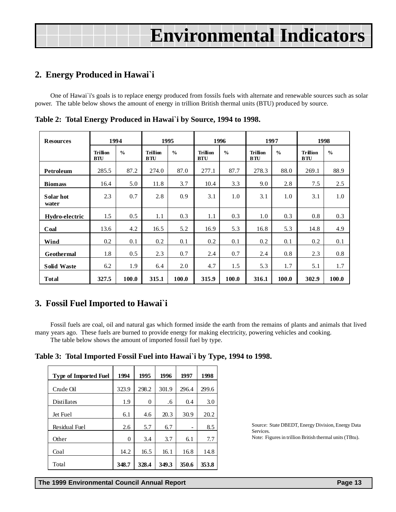### <span id="page-12-0"></span>**2. Energy Produced in Hawai`i**

One of Hawai`i's goals is to replace energy produced from fossils fuels with alternate and renewable sources such as solar power. The table below shows the amount of energy in trillion British thermal units (BTU) produced by source.

| <b>Resources</b>   | 1994                          |               | 1995                          |               | 1996                          |               | 1997                          |               | 1998                          |               |
|--------------------|-------------------------------|---------------|-------------------------------|---------------|-------------------------------|---------------|-------------------------------|---------------|-------------------------------|---------------|
|                    | <b>Trillion</b><br><b>BTU</b> | $\frac{0}{0}$ | <b>Trillion</b><br><b>BTU</b> | $\frac{0}{0}$ | <b>Trillion</b><br><b>BTU</b> | $\frac{0}{0}$ | <b>Trillion</b><br><b>BTU</b> | $\frac{0}{0}$ | <b>Trillion</b><br><b>BTU</b> | $\frac{0}{0}$ |
| Petroleum          | 285.5                         | 87.2          | 274.0                         | 87.0          | 277.1                         | 87.7          | 278.3                         | 88.0          | 269.1                         | 88.9          |
| <b>Biomass</b>     | 16.4                          | 5.0           | 11.8                          | 3.7           | 10.4                          | 3.3           | 9.0                           | 2.8           | 7.5                           | 2.5           |
| Solar hot<br>water | 2.3                           | 0.7           | 2.8                           | 0.9           | 3.1                           | 1.0           | 3.1                           | 1.0           | 3.1                           | 1.0           |
| Hydro-electric     | 1.5                           | 0.5           | 1.1                           | 0.3           | 1.1                           | 0.3           | 1.0                           | 0.3           | 0.8                           | 0.3           |
| Coal               | 13.6                          | 4.2           | 16.5                          | 5.2           | 16.9                          | 5.3           | 16.8                          | 5.3           | 14.8                          | 4.9           |
| Wind               | 0.2                           | 0.1           | 0.2                           | 0.1           | 0.2                           | 0.1           | 0.2                           | 0.1           | 0.2                           | 0.1           |
| <b>Geothermal</b>  | 1.8                           | 0.5           | 2.3                           | 0.7           | 2.4                           | 0.7           | 2.4                           | 0.8           | 2.3                           | 0.8           |
| <b>Solid Waste</b> | 6.2                           | 1.9           | 6.4                           | 2.0           | 4.7                           | 1.5           | 5.3                           | 1.7           | 5.1                           | 1.7           |
| <b>Total</b>       | 327.5                         | 100.0         | 315.1                         | 100.0         | 315.9                         | 100.0         | 316.1                         | 100.0         | 302.9                         | 100.0         |

**Table 2: Total Energy Produced in Hawai`i by Source, 1994 to 1998.**

### **3. Fossil Fuel Imported to Hawai`i**

Fossil fuels are coal, oil and natural gas which formed inside the earth from the remains of plants and animals that lived many years ago. These fuels are burned to provide energy for making electricity, powering vehicles and cooking. The table below shows the amount of imported fossil fuel by type.

**Table 3: Total Imported Fossil Fuel into Hawai`i by Type, 1994 to 1998.**

| <b>Type of Imported Fuel</b> | 1994     | 1995  | 1996  | 1997  | 1998  |
|------------------------------|----------|-------|-------|-------|-------|
| Crude Oil                    | 323.9    | 298.2 | 301.9 | 296.4 | 299.6 |
| Distillates                  | 1.9      | 0     | .6    | 0.4   | 3.0   |
| Jet Fuel                     | 6.1      | 4.6   | 20.3  | 30.9  | 20.2  |
| Residual Fuel                | 2.6      | 5.7   | 6.7   |       | 8.5   |
| Other                        | $\theta$ | 3.4   | 3.7   | 6.1   | 7.7   |
| Coal                         | 14.2     | 16.5  | 16.1  | 16.8  | 14.8  |
| Total                        | 348.7    | 328.4 | 349.3 | 350.6 | 353.8 |

Source: State DBEDT, Energy Division, Energy Data Services. Note: Figures in trillion British thermal units (TBtu).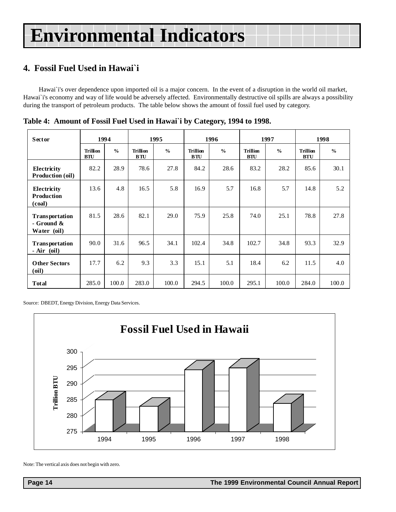# <span id="page-13-0"></span>**4. Fossil Fuel Used in Hawai`i**

Hawai`i's over dependence upon imported oil is a major concern. In the event of a disruption in the world oil market, Hawai`i's economy and way of life would be adversely affected. Environmentally destructive oil spills are always a possibility during the transport of petroleum products. The table below shows the amount of fossil fuel used by category.

| <b>Sector</b>                                           | 1994                          |               | 1995                     |               |                               | 1996          |                               | 1997          | 1998                          |               |
|---------------------------------------------------------|-------------------------------|---------------|--------------------------|---------------|-------------------------------|---------------|-------------------------------|---------------|-------------------------------|---------------|
|                                                         | <b>Trillion</b><br><b>BTU</b> | $\frac{0}{0}$ | <b>Trillion</b><br>B T U | $\frac{0}{0}$ | <b>Trillion</b><br><b>BTU</b> | $\frac{0}{0}$ | <b>Trillion</b><br><b>BTU</b> | $\frac{0}{0}$ | <b>Trillion</b><br><b>BTU</b> | $\frac{0}{0}$ |
| Electricity<br>Production (oil)                         | 82.2                          | 28.9          | 78.6                     | 27.8          | 84.2                          | 28.6          | 83.2                          | 28.2          | 85.6                          | 30.1          |
| Electricity<br><b>Production</b><br>(coal)              | 13.6                          | 4.8           | 16.5                     | 5.8           | 16.9                          | 5.7           | 16.8                          | 5.7           | 14.8                          | 5.2           |
| <b>Transportation</b><br>$-$ Ground $\&$<br>Water (oil) | 81.5                          | 28.6          | 82.1                     | 29.0          | 75.9                          | 25.8          | 74.0                          | 25.1          | 78.8                          | 27.8          |
| Transportation<br>$-Air$ (oil)                          | 90.0                          | 31.6          | 96.5                     | 34.1          | 102.4                         | 34.8          | 102.7                         | 34.8          | 93.3                          | 32.9          |
| <b>Other Sectors</b><br>(oil)                           | 17.7                          | 6.2           | 9.3                      | 3.3           | 15.1                          | 5.1           | 18.4                          | 6.2           | 11.5                          | 4.0           |
| <b>Total</b>                                            | 285.0                         | 100.0         | 283.0                    | 100.0         | 294.5                         | 100.0         | 295.1                         | 100.0         | 284.0                         | 100.0         |

**Table 4: Amount of Fossil Fuel Used in Hawai`i by Category, 1994 to 1998.**

Source: DBEDT, Energy Division, Energy Data Services.



Note: The vertical axis does not begin with zero.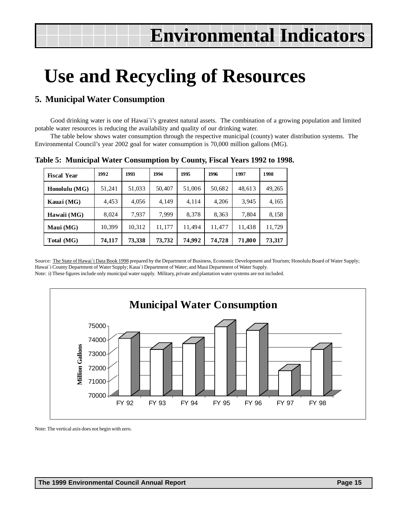# <span id="page-14-0"></span>**Use and Recycling of Resources**

### **5. Municipal Water Consumption**

Good drinking water is one of Hawai`i's greatest natural assets. The combination of a growing population and limited potable water resources is reducing the availability and quality of our drinking water.

The table below shows water consumption through the respective municipal (county) water distribution systems. The Environmental Council's year 2002 goal for water consumption is 70,000 million gallons (MG).

| <b>Fiscal Year</b> | 1992   | 1993   | 1994   | 1995   | 1996   | 1997   | 1998   |
|--------------------|--------|--------|--------|--------|--------|--------|--------|
| Honolulu (MG)      | 51,241 | 51,033 | 50,407 | 51,006 | 50,682 | 48,613 | 49,265 |
| Kauai (MG)         | 4,453  | 4,056  | 4.149  | 4.114  | 4,206  | 3,945  | 4,165  |
| Hawaii (MG)        | 8,024  | 7.937  | 7.999  | 8,378  | 8,363  | 7,804  | 8,158  |
| Maui (MG)          | 10,399 | 10,312 | 11,177 | 11,494 | 11,477 | 11,438 | 11,729 |
| Total (MG)         | 74,117 | 73,338 | 73,732 | 74,992 | 74,728 | 71,800 | 73,317 |

**Table 5: Municipal Water Consumption by County, Fiscal Years 1992 to 1998.**

Source: The State of Hawai`i Data Book 1998 prepared by the Department of Business, Economic Development and Tourism; Honolulu Board of Water Supply; Hawai`i County Department of Water Supply; Kaua`i Department of Water; and Maui Department of Water Supply.

Note: i) These figures include only municipal water supply. Military, private and plantation water systems are not included.



Note: The vertical axis does not begin with zero.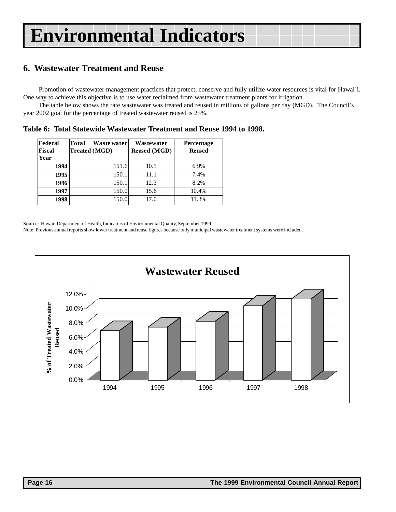### <span id="page-15-0"></span>**6. Wastewater Treatment and Reuse**

Promotion of wastewater management practices that protect, conserve and fully utilize water resources is vital for Hawai`i. One way to achieve this objective is to use water reclaimed from wastewater treatment plants for irrigation.

The table below shows the rate wastewater was treated and reused in millions of gallons per day (MGD). The Council's year 2002 goal for the percentage of treated wastewater reused is 25%.

**Table 6: Total Statewide Wastewater Treatment and Reuse 1994 to 1998.**

| Federal<br>Fiscal<br>Year | Total<br>Waste water<br><b>Treated (MGD)</b> | Wastewater<br><b>Reused</b> (MGD) | Percentage<br><b>Reused</b> |
|---------------------------|----------------------------------------------|-----------------------------------|-----------------------------|
| 1994                      | 151.6                                        | 10.5                              | 6.9%                        |
| 1995                      | 150.1                                        | 11.1                              | 7.4%                        |
| 1996                      | 150.1                                        | 12.3                              | 8.2%                        |
| 1997                      | 150.0                                        | 15.6                              | 10.4%                       |
| 1998                      | 150.0                                        | 17.0                              | 11.3%                       |

Source: Hawaii Department of Health, Indicators of Environmental Quality, September 1999.

Note: Previous annual reports show lower treatment and reuse figures because only municipal wastewater treatment systems were included.

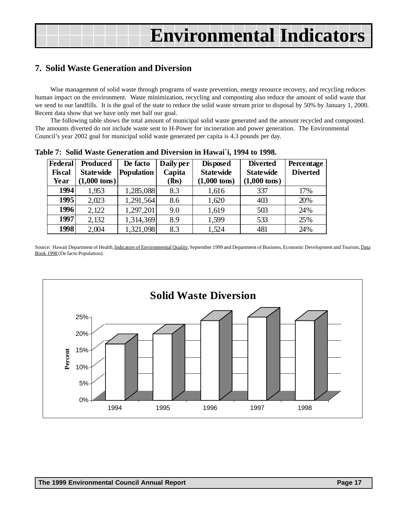### <span id="page-16-0"></span>**7. Solid Waste Generation and Diversion**

Wise management of solid waste through programs of waste prevention, energy resource recovery, and recycling reduces human impact on the environment. Waste minimization, recycling and composting also reduce the amount of solid waste that we send to our landfills. It is the goal of the state to reduce the solid waste stream prior to disposal by 50% by January 1, 2000. Recent data show that we have only met half our goal.

The following table shows the total amount of municipal solid waste generated and the amount recycled and composted. The amounts diverted do not include waste sent to H-Power for incineration and power generation. The Environmental Council's year 2002 goal for municipal solid waste generated per capita is 4.3 pounds per day.

| <b>Federal</b> | <b>Produced</b>        | De facto          | Daily per | <b>Disposed</b>        | <b>Diverted</b>        | Percentage      |
|----------------|------------------------|-------------------|-----------|------------------------|------------------------|-----------------|
| <b>Fiscal</b>  | <b>Statewide</b>       | <b>Population</b> | Capita    | <b>Statewide</b>       | <b>Statewide</b>       | <b>Diverted</b> |
| Year           | $(1,000 \text{ tons})$ |                   | (lbs)     | $(1,000 \text{ tons})$ | $(1,000 \text{ tons})$ |                 |
| 1994           | 1,953                  | 1,285,088         | 8.3       | 1,616                  | 337                    | 17%             |
| 1995           | 2,023                  | 1,291,564         | 8.6       | 1,620                  | 403                    | 20%             |
| 1996           | 2,122                  | 1,297,201         | 9.0       | 1,619                  | 503                    | 24%             |
| 1997           | 2,132                  | 1,314,369         | 8.9       | 1,599                  | 533                    | 25%             |
| 1998           | 2,004                  | 1,321,098         | 8.3       | 1,524                  | 481                    | 24%             |

**Table 7: Solid Waste Generation and Diversion in Hawai`i, 1994 to 1998.**

Source: Hawaii Department of Health, Indicators of Environmental Quality, September 1999 and Department of Business, Economic Development and Tourism, Data Book 1998 (De facto Population).

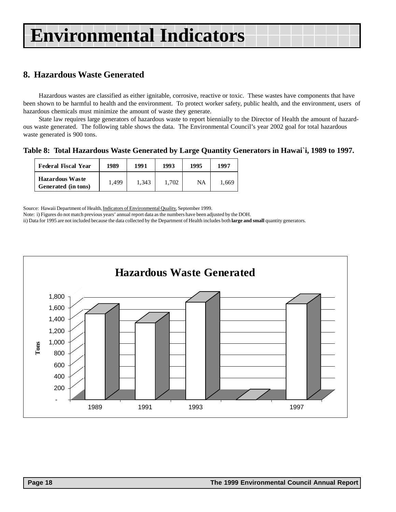# <span id="page-17-0"></span>**8. Hazardous Waste Generated**

Hazardous wastes are classified as either ignitable, corrosive, reactive or toxic. These wastes have components that have been shown to be harmful to health and the environment. To protect worker safety, public health, and the environment, users of hazardous chemicals must minimize the amount of waste they generate.

State law requires large generators of hazardous waste to report biennially to the Director of Health the amount of hazardous waste generated. The following table shows the data. The Environmental Council's year 2002 goal for total hazardous waste generated is 900 tons.

**Table 8: Total Hazardous Waste Generated by Large Quantity Generators in Hawai`i, 1989 to 1997.**

| <b>Federal Fiscal Year</b>                    | 1989  | 1991  | 1993  | 1995 | 1997  |
|-----------------------------------------------|-------|-------|-------|------|-------|
| <b>Hazardous Waste</b><br>Generated (in tons) | 1.499 | 1.343 | 1.702 | NA   | 1,669 |

Source: Hawaii Department of Health, Indicators of Environmental Quality, September 1999.

Note: i) Figures do not match previous years' annual report data as the numbers have been adjusted by the DOH.

ii) Data for 1995 are not included because the data collected by the Department of Health includes both **large and small** quantity generators.

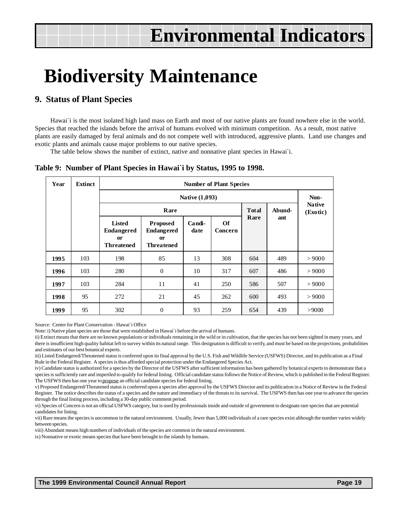# <span id="page-18-0"></span>**Biodiversity Maintenance**

#### **9. Status of Plant Species**

Hawai'i is the most isolated high land mass on Earth and most of our native plants are found nowhere else in the world. Species that reached the islands before the arrival of humans evolved with minimum competition. As a result, most native plants are easily damaged by feral animals and do not compete well with introduced, aggressive plants. Land use changes and exotic plants and animals cause major problems to our native species.

The table below shows the number of extinct, native and nonnative plant species in Hawai`i.

#### **Table 9: Number of Plant Species in Hawai`i by Status, 1995 to 1998.**

| Year | Extinct |                                                                      | <b>Number of Plant Species</b>                                             |                |               |       |        |                           |  |  |
|------|---------|----------------------------------------------------------------------|----------------------------------------------------------------------------|----------------|---------------|-------|--------|---------------------------|--|--|
|      |         |                                                                      | Native (1,093)                                                             |                |               |       |        |                           |  |  |
|      |         |                                                                      | Rare                                                                       |                |               | Total | Abund- | <b>Native</b><br>(Exotic) |  |  |
|      |         | <b>Listed</b><br><b>Endangered</b><br><b>or</b><br><b>Threatened</b> | <b>Proposed</b><br><b>Endangered</b><br><sub>or</sub><br><b>Threatened</b> | Candi-<br>date | Of<br>Concern | Rare  | ant    |                           |  |  |
| 1995 | 103     | 198                                                                  | 85                                                                         | 13             | 308           | 604   | 489    | > 9000                    |  |  |
| 1996 | 103     | 280                                                                  | $\mathbf{0}$                                                               | 10             | 317           | 607   | 486    | > 9000                    |  |  |
| 1997 | 103     | 284                                                                  | 11                                                                         | 41             | 250           | 586   | 507    | > 9000                    |  |  |
| 1998 | 95      | 272                                                                  | 21                                                                         | 45             | 262           | 600   | 493    | > 9000                    |  |  |
| 1999 | 95      | 302                                                                  | $\overline{0}$                                                             | 93             | 259           | 654   | 439    | >9000                     |  |  |

Source: Center for Plant Conservation - Hawai`i Office

Note: i) Native plant species are those that were established in Hawai`i before the arrival of humans.

ii) Extinct means that there are no known populations or individuals remaining in the wild or in cultivation, that the species has not been sighted in many years, and there is insufficient high quality habitat left to survey within its natural range. This designation is difficult to verify, and must be based on the projections, probabilities and estimates of our best botanical experts.

iii) Listed Endangered/Threatened status is conferred upon its final approval by the U.S. Fish and Wildlife Service (USFWS) Director, and its publication as a Final Rule in the Federal Register. A species is thus afforded special protection under the Endangered Species Act.

iv) Candidate status is authorized for a species by the Director of the USFWS after sufficient information has been gathered by botanical experts to demonstrate that a species is sufficiently rare and imperiled to qualify for federal listing. Official candidate status follows the Notice of Review, which is published in the Federal Register. The USFWS then has one year to propose an official candidate species for federal listing.

v) Proposed Endangered/Threatened status is conferred upon a species after approval by the USFWS Director and its publication in a Notice of Review in the Federal Register. The notice describes the status of a species and the nature and immediacy of the threats to its survival. The USFWS then has one year to advance the species through the final listing process, including a 30-day public comment period.

vi) Species of Concern is not an official USFWS category, but is used by professionals inside and outside of government to designate rare species that are potential candidates for listing.

vii) Rare means the species is uncommon in the natural environment. Usually, fewer than 5,000 individuals of a rare species exist although the number varies widely between species.

viii) Abundant means high numbers of individuals of the species are common in the natural environment.

ix) Nonnative or exotic means species that have been brought to the islands by humans.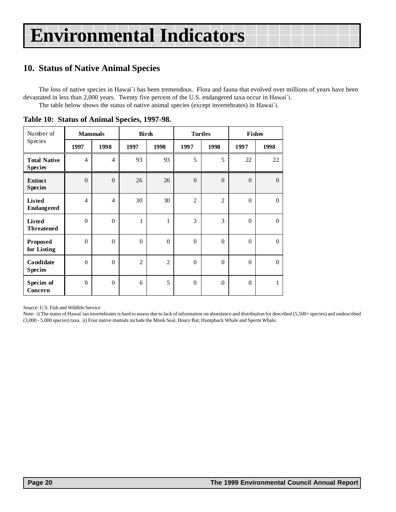# <span id="page-19-0"></span>**10. Status of Native Animal Species**

The loss of native species in Hawai`i has been tremendous. Flora and fauna that evolved over millions of years have been devastated in less than 2,000 years. Twenty five percent of the U.S. endangered taxa occur in Hawai`i. The table below shows the status of native animal species (except invertebrates) in Hawai`i.

| Number of                             | <b>Mammals</b>   |                | <b>Birds</b>   |                | <b>Turtles</b> |                | <b>Fishes</b>    |                  |
|---------------------------------------|------------------|----------------|----------------|----------------|----------------|----------------|------------------|------------------|
| Species                               | 1997             | 1998           | 1997           | 1998           | 1997           | 1998           | 1997             | 1998             |
| <b>Total Native</b><br><b>Species</b> | $\overline{4}$   | $\overline{4}$ | 93             | 93             | 5              | 5              | 22               | 22               |
| <b>Extinct</b><br><b>Species</b>      | $\boldsymbol{0}$ | $\mathbf{0}$   | 26             | 26             | $\overline{0}$ | $\overline{0}$ | $\mathbf{0}$     | $\boldsymbol{0}$ |
| <b>Listed</b><br><b>Endangered</b>    | $\overline{4}$   | $\overline{4}$ | 30             | 30             | $\overline{c}$ | $\overline{2}$ | $\theta$         | $\mathbf{0}$     |
| <b>Listed</b><br><b>Threatened</b>    | $\boldsymbol{0}$ | $\mathbf{0}$   | 1              | $\mathbf{1}$   | 3              | 3              | $\boldsymbol{0}$ | $\mathbf{0}$     |
| Proposed<br>for Listing               | $\overline{0}$   | $\mathbf{0}$   | $\theta$       | $\theta$       | $\Omega$       | $\theta$       | $\overline{0}$   | $\overline{0}$   |
| Candidate<br><b>Species</b>           | $\boldsymbol{0}$ | $\mathbf{0}$   | $\overline{2}$ | $\overline{2}$ | $\Omega$       | $\Omega$       | $\boldsymbol{0}$ | $\boldsymbol{0}$ |
| Species of<br>Concern                 | $\theta$         | $\mathbf{0}$   | 6              | 5              | $\theta$       | $\Omega$       | $\boldsymbol{0}$ | $\mathbf{1}$     |

**Table 10: Status of Animal Species, 1997-98.**

Source: U.S. Fish and Wildlife Service

Note: i) The status of Hawai`ian invertebrates is hard to assess due to lack of information on abundance and distribution for described (5,500+ species) and undescribed (3,000 - 5,000 species) taxa. ii) Four native mamals include the Monk Seal, Hoary Bat, Humpback Whale and Sperm Whale.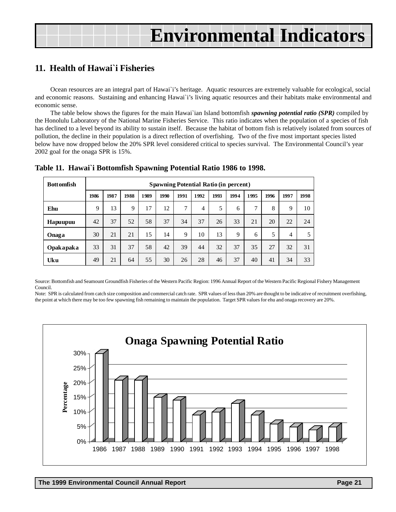### <span id="page-20-0"></span>**11. Health of Hawai`i Fisheries**

Ocean resources are an integral part of Hawai`i's heritage. Aquatic resources are extremely valuable for ecological, social and economic reasons. Sustaining and enhancing Hawai`i's living aquatic resources and their habitats make environmental and economic sense.

The table below shows the figures for the main Hawai`ian Island bottomfish *spawning potential ratio (SPR)* compiled by the Honolulu Laboratory of the National Marine Fisheries Service. This ratio indicates when the population of a species of fish has declined to a level beyond its ability to sustain itself. Because the habitat of bottom fish is relatively isolated from sources of pollution, the decline in their population is a direct reflection of overfishing. Two of the five most important species listed below have now dropped below the 20% SPR level considered critical to species survival. The Environmental Council's year 2002 goal for the onaga SPR is 15%.

| <b>Bottomfish</b> |      | <b>Spawning Potential Ratio (in percent)</b> |      |      |      |      |      |      |      |      |      |      |      |
|-------------------|------|----------------------------------------------|------|------|------|------|------|------|------|------|------|------|------|
|                   | 1986 | 1987                                         | 1988 | 1989 | 1990 | 1991 | 1992 | 1993 | 1994 | 1995 | 1996 | 1997 | 1998 |
| Ehu               | 9    | 13                                           | 9    | 17   | 12   | 7    | 4    | 5    | 6    | 7    | 8    | 9    | 10   |
| Hapuupuu          | 42   | 37                                           | 52   | 58   | 37   | 34   | 37   | 26   | 33   | 21   | 20   | 22   | 24   |
| Onaga             | 30   | 21                                           | 21   | 15   | 14   | 9    | 10   | 13   | 9    | 6    | 5    | 4    | 5    |
| Opakapaka         | 33   | 31                                           | 37   | 58   | 42   | 39   | 44   | 32   | 37   | 35   | 27   | 32   | 31   |
| Uku               | 49   | 21                                           | 64   | 55   | 30   | 26   | 28   | 46   | 37   | 40   | 41   | 34   | 33   |

#### **Table 11. Hawai`i Bottomfish Spawning Potential Ratio 1986 to 1998.**

Source: Bottomfish and Seamount Groundfish Fisheries of the Western Pacific Region: 1996 Annual Report of the Western Pacific Regional Fishery Management Council.

Note: SPR is calculated from catch size composition and commercial catch rate. SPR values of less than 20% are thought to be indicative of recruitment overfishing, the point at which there may be too few spawning fish remaining to maintain the population. Target SPR values for ehu and onaga recovery are 20%.

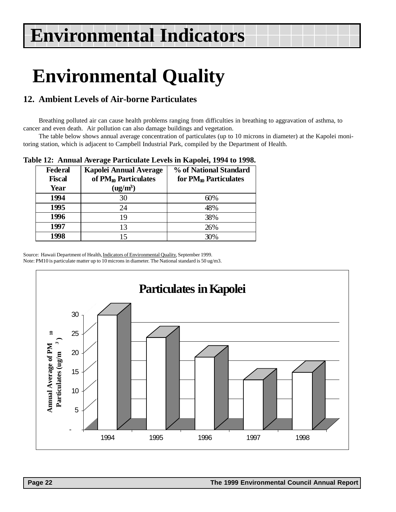# <span id="page-21-0"></span>**Environmental Quality**

# **12. Ambient Levels of Air-borne Particulates**

Breathing polluted air can cause health problems ranging from difficulties in breathing to aggravation of asthma, to cancer and even death. Air pollution can also damage buildings and vegetation.

The table below shows annual average concentration of particulates (up to 10 microns in diameter) at the Kapolei monitoring station, which is adjacent to Campbell Industrial Park, compiled by the Department of Health.

**Table 12: Annual Average Particulate Levels in Kapolei, 1994 to 1998.**

| <b>Federal</b><br><b>Fiscal</b> | <b>Kapolei Annual Average</b><br>of PM <sub>10</sub> Particulates | % of National Standard<br>for $PM_{10}$ Particulates |
|---------------------------------|-------------------------------------------------------------------|------------------------------------------------------|
| Year                            | (ug/m <sup>3</sup> )                                              |                                                      |
| 1994                            | 30                                                                | 60%                                                  |
| 1995                            | 24                                                                | 48%                                                  |
| 1996                            | 19                                                                | 38%                                                  |
| 1997                            | 13                                                                | 26%                                                  |
| 1998                            |                                                                   | 30%                                                  |

Source: Hawaii Department of Health, Indicators of Environmental Quality, September 1999. Note: PM10 is particulate matter up to 10 microns in diameter. The National standard is 50 ug/m3.

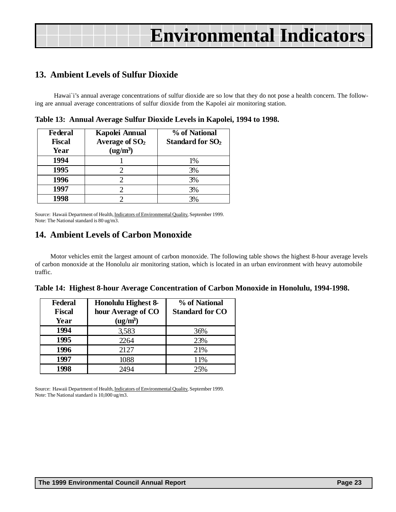### <span id="page-22-0"></span>**13. Ambient Levels of Sulfur Dioxide**

Hawai'i's annual average concentrations of sulfur dioxide are so low that they do not pose a health concern. The following are annual average concentrations of sulfur dioxide from the Kapolei air monitoring station.

| <b>Federal</b><br><b>Fiscal</b><br>Year | Kapolei Annual<br>Average of $SO2$<br>$(ug/m^3)$ | % of National<br><b>Standard for SO<sub>2</sub></b> |
|-----------------------------------------|--------------------------------------------------|-----------------------------------------------------|
| 1994                                    |                                                  | 1%                                                  |
| 1995                                    |                                                  | 3%                                                  |
| 1996                                    |                                                  | 3%                                                  |
| 1997                                    |                                                  | 3%                                                  |
| 1998                                    |                                                  | 3%                                                  |

**Table 13: Annual Average Sulfur Dioxide Levels in Kapolei, 1994 to 1998.**

Source: Hawaii Department of Health, Indicators of Environmental Quality, September 1999. Note: The National standard is 80 ug/m3.

### **14. Ambient Levels of Carbon Monoxide**

Motor vehicles emit the largest amount of carbon monoxide. The following table shows the highest 8-hour average levels of carbon monoxide at the Honolulu air monitoring station, which is located in an urban environment with heavy automobile traffic.

| Table 14: Highest 8-hour Average Concentration of Carbon Monoxide in Honolulu, 1994-1998. |  |  |  |
|-------------------------------------------------------------------------------------------|--|--|--|
|                                                                                           |  |  |  |

| <b>Federal</b><br><b>Fiscal</b><br>Year | Honolulu Highest 8-<br>hour Average of CO<br>$(ug/m^3)$ | % of National<br><b>Standard for CO</b> |
|-----------------------------------------|---------------------------------------------------------|-----------------------------------------|
| 1994                                    | 3,583                                                   | 36%                                     |
| 1995                                    | 2264                                                    | 23%                                     |
| 1996                                    | 2127                                                    | 21%                                     |
| 1997                                    | 1088                                                    | 11%                                     |
| 1998                                    | 2494                                                    | 25%                                     |

Source: Hawaii Department of Health, Indicators of Environmental Quality, September 1999. Note: The National standard is 10,000 ug/m3.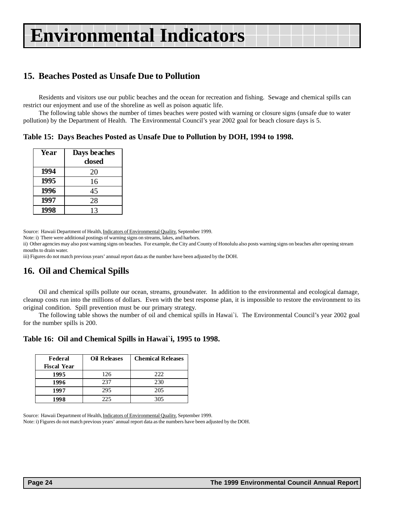# <span id="page-23-0"></span>**15. Beaches Posted as Unsafe Due to Pollution**

Residents and visitors use our public beaches and the ocean for recreation and fishing. Sewage and chemical spills can restrict our enjoyment and use of the shoreline as well as poison aquatic life.

The following table shows the number of times beaches were posted with warning or closure signs (unsafe due to water pollution) by the Department of Health. The Environmental Council's year 2002 goal for beach closure days is 5.

**Table 15: Days Beaches Posted as Unsafe Due to Pollution by DOH, 1994 to 1998.**

| Year | Days beaches |
|------|--------------|
|      | closed       |
| 1994 | 20           |
| 1995 | 16           |
| 1996 | 45           |
| 1997 | 28           |
| 1998 | 13           |
|      |              |

Source: Hawaii Department of Health, Indicators of Environmental Quality, September 1999.

Note: i) There were additional postings of warning signs on streams, lakes, and harbors.

ii) Other agencies may also post warning signs on beaches. For example, the City and County of Honolulu also posts warning signs on beaches after opening stream mouths to drain water.

iii) Figures do not match previous years' annual report data as the number have been adjusted by the DOH.

### **16. Oil and Chemical Spills**

Oil and chemical spills pollute our ocean, streams, groundwater. In addition to the environmental and ecological damage, cleanup costs run into the millions of dollars. Even with the best response plan, it is impossible to restore the environment to its original condition. Spill prevention must be our primary strategy.

The following table shows the number of oil and chemical spills in Hawai`i. The Environmental Council's year 2002 goal for the number spills is 200.

| Table 16: Oil and Chemical Spills in Hawai'i, 1995 to 1998. |
|-------------------------------------------------------------|
|-------------------------------------------------------------|

| Federal            | <b>Oil Releases</b> | <b>Chemical Releases</b> |
|--------------------|---------------------|--------------------------|
| <b>Fiscal Year</b> |                     |                          |
| 1995               | 126                 | 222                      |
| 1996               | 237                 | 230                      |
| 1997               | 295                 | 205                      |
| 1998               | 225                 | 305                      |

Source: Hawaii Department of Health, Indicators of Environmental Quality, September 1999. Note: i) Figures do not match previous years' annual report data as the numbers have been adjusted by the DOH.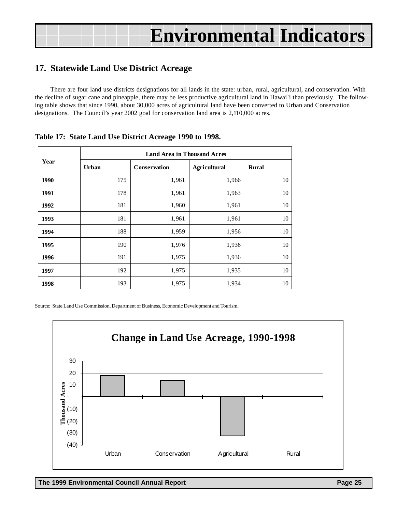# <span id="page-24-0"></span>**17. Statewide Land Use District Acreage**

There are four land use districts designations for all lands in the state: urban, rural, agricultural, and conservation. With the decline of sugar cane and pineapple, there may be less productive agricultural land in Hawai`i than previously. The following table shows that since 1990, about 30,000 acres of agricultural land have been converted to Urban and Conservation designations. The Council's year 2002 goal for conservation land area is 2,110,000 acres.

| Year | Urban | <b>Conservation</b> | <b>Agricultural</b> | <b>Rural</b> |
|------|-------|---------------------|---------------------|--------------|
| 1990 | 175   | 1,961               | 1,966               | 10           |
| 1991 | 178   | 1,961               | 1,963               | 10           |
| 1992 | 181   | 1,960               | 1,961               | 10           |
| 1993 | 181   | 1,961               | 1,961               | 10           |
| 1994 | 188   | 1,959               | 1,956               | 10           |
| 1995 | 190   | 1,976               | 1,936               | 10           |
| 1996 | 191   | 1,975               | 1,936               | 10           |
| 1997 | 192   | 1,975               | 1,935               | 10           |
| 1998 | 193   | 1,975               | 1,934               | 10           |

#### **Table 17: State Land Use District Acreage 1990 to 1998.**

Source: State Land Use Commission, Department of Business, Economic Development and Tourism.

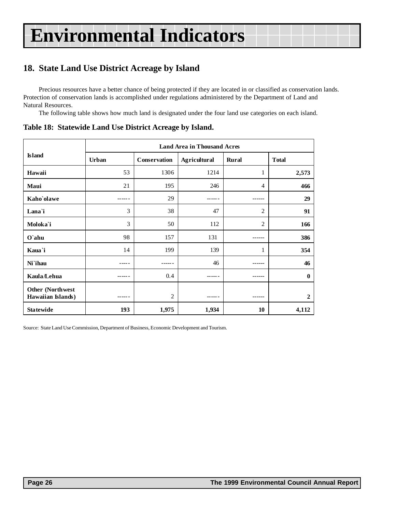# <span id="page-25-0"></span>**18. State Land Use District Acreage by Island**

Precious resources have a better chance of being protected if they are located in or classified as conservation lands. Protection of conservation lands is accomplished under regulations administered by the Department of Land and Natural Resources.

The following table shows how much land is designated under the four land use categories on each island.

|                                               | <b>Land Area in Thousand Acres</b> |                |                     |                |                |  |  |
|-----------------------------------------------|------------------------------------|----------------|---------------------|----------------|----------------|--|--|
| <b>Island</b>                                 | Urban                              | Conservation   | <b>Agricultural</b> | Rural          | <b>Total</b>   |  |  |
| Hawaii                                        | 53                                 | 1306           | 1214                | 1              | 2,573          |  |  |
| Maui                                          | 21                                 | 195            | 246                 | 4              | 466            |  |  |
| Kaho'olawe                                    |                                    | 29             |                     | ---            | 29             |  |  |
| Lana`i                                        | 3                                  | 38             | 47                  | 2              | 91             |  |  |
| Moloka'i                                      | 3                                  | 50             | 112                 | $\overline{c}$ | 166            |  |  |
| O`ahu                                         | 98                                 | 157            | 131                 | ------         | 386            |  |  |
| Kaua`i                                        | 14                                 | 199            | 139                 | 1              | 354            |  |  |
| Ni`ihau                                       |                                    |                | 46                  |                | 46             |  |  |
| Kaula/Lehua                                   |                                    | 0.4            |                     | ------         | $\mathbf{0}$   |  |  |
| <b>Other (Northwest)</b><br>Hawaiian Islands) |                                    | $\overline{2}$ |                     | ------         | $\overline{2}$ |  |  |
| <b>Statewide</b>                              | 193                                | 1,975          | 1,934               | 10             | 4,112          |  |  |

**Table 18: Statewide Land Use District Acreage by Island.**

Source: State Land Use Commission, Department of Business, Economic Development and Tourism.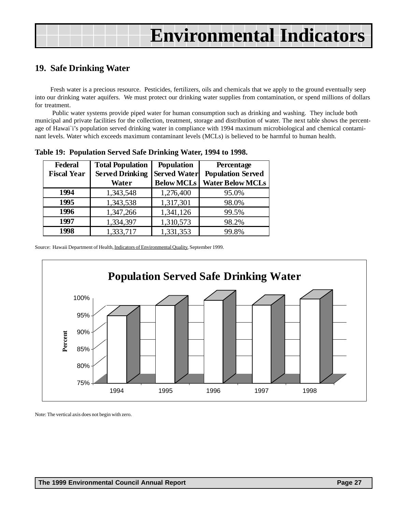### <span id="page-26-0"></span>**19. Safe Drinking Water**

Fresh water is a precious resource. Pesticides, fertilizers, oils and chemicals that we apply to the ground eventually seep into our drinking water aquifers. We must protect our drinking water supplies from contamination, or spend millions of dollars for treatment.

 Public water systems provide piped water for human consumption such as drinking and washing. They include both municipal and private facilities for the collection, treatment, storage and distribution of water. The next table shows the percentage of Hawai`i's population served drinking water in compliance with 1994 maximum microbiological and chemical contaminant levels. Water which exceeds maximum contaminant levels (MCLs) is believed to be harmful to human health.

| <b>Federal</b><br><b>Fiscal Year</b> | <b>Total Population</b><br><b>Served Drinking</b><br>Water | <b>Population</b><br><b>Served Water</b><br><b>Below MCLs</b> | <b>Percentage</b><br><b>Population Served</b><br><b>Water Below MCLs</b> |
|--------------------------------------|------------------------------------------------------------|---------------------------------------------------------------|--------------------------------------------------------------------------|
| 1994                                 | 1,343,548                                                  | 1,276,400                                                     | 95.0%                                                                    |
| 1995                                 | 1,343,538                                                  | 1,317,301                                                     | 98.0%                                                                    |
| 1996                                 | 1,347,266                                                  | 1,341,126                                                     | 99.5%                                                                    |
| 1997                                 | 1,334,397                                                  | 1,310,573                                                     | 98.2%                                                                    |
| 1998                                 | 1,333,717                                                  | 1,331,353                                                     | 99.8%                                                                    |

**Table 19: Population Served Safe Drinking Water, 1994 to 1998.**

Source: Hawaii Department of Health, Indicators of Environmental Quality, September 1999.



Note: The vertical axis does not begin with zero.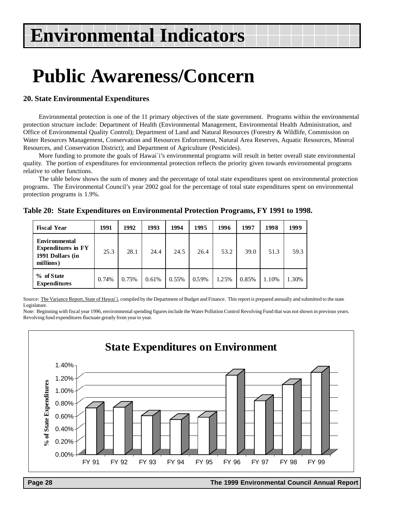# **Public Awareness/Concern**

#### **20. State Environmental Expenditures**

Environmental protection is one of the 11 primary objectives of the state government. Programs within the environmental protection structure include: Department of Health (Environmental Management, Environmental Health Administration, and Office of Environmental Quality Control); Department of Land and Natural Resources (Forestry & Wildlife, Commission on Water Resources Management, Conservation and Resources Enforcement, Natural Area Reserves, Aquatic Resources, Mineral Resources, and Conservation District); and Department of Agriculture (Pesticides).

More funding to promote the goals of Hawai`i's environmental programs will result in better overall state environmental quality. The portion of expenditures for environmental protection reflects the priority given towards environmental programs relative to other functions.

The table below shows the sum of money and the percentage of total state expenditures spent on environmental protection programs. The Environmental Council's year 2002 goal for the percentage of total state expenditures spent on environmental protection programs is 1.9%.

| <b>Fiscal Year</b>                                                                 | 1991  | 1992  | 1993  | 1994  | 1995  | 1996  | 1997  | 1998  | 1999  |
|------------------------------------------------------------------------------------|-------|-------|-------|-------|-------|-------|-------|-------|-------|
| <b>Environmental</b><br><b>Expenditures in FY</b><br>1991 Dollars (in<br>millions) | 25.3  | 28.1  | 24.4  | 24.5  | 26.4  | 53.2  | 39.0  | 51.3  | 59.3  |
| % of State<br><b>Expenditures</b>                                                  | 0.74% | 0.75% | 0.61% | 0.55% | 0.59% | 1.25% | 0.85% | 1.10% | 1.30% |

**Table 20: State Expenditures on Environmental Protection Programs, FY 1991 to 1998.**

Source: The Variance Report, State of Hawai'i, compiled by the Department of Budget and Finance. This report is prepared annually and submitted to the state Legislature.

Note: Beginning with fiscal year 1996, environmental spending figures include the Water Pollution Control Revolving Fund that was not shown in previous years. Revolving fund expenditures fluctuate greatly from year to year.



 **Page 28 The 1999 Environmental Council Annual Report**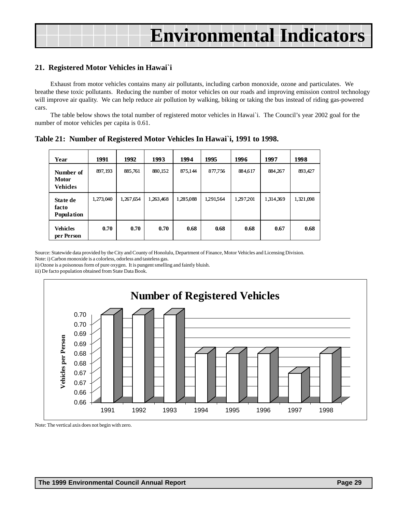| <b>Environmental Indicators</b> |  |
|---------------------------------|--|
|                                 |  |

#### **21. Registered Motor Vehicles in Hawai`i**

Exhaust from motor vehicles contains many air pollutants, including carbon monoxide, ozone and particulates. We breathe these toxic pollutants. Reducing the number of motor vehicles on our roads and improving emission control technology will improve air quality. We can help reduce air pollution by walking, biking or taking the bus instead of riding gas-powered cars.

The table below shows the total number of registered motor vehicles in Hawai`i. The Council's year 2002 goal for the number of motor vehicles per capita is 0.61.

| Year                                        | 1991      | 1992      | 1993      | 1994      | 1995      | 1996      | 1997      | 1998      |
|---------------------------------------------|-----------|-----------|-----------|-----------|-----------|-----------|-----------|-----------|
| Number of<br><b>Motor</b><br><b>Vehides</b> | 897, 193  | 885.761   | 880.152   | 875.144   | 877,756   | 884.617   | 884.267   | 893,427   |
| State de<br>facto<br><b>Population</b>      | 1,273,040 | 1,267,654 | 1,263,468 | 1,285,088 | 1,291,564 | 1,297,201 | 1,314,369 | 1,321,098 |
| <b>Vehicles</b><br>per Person               | 0.70      | 0.70      | 0.70      | 0.68      | 0.68      | 0.68      | 0.67      | 0.68      |

**Table 21: Number of Registered Motor Vehicles In Hawai`i, 1991 to 1998.**

Source: Statewide data provided by the City and County of Honolulu, Department of Finance, Motor Vehicles and Licensing Division. Note: i) Carbon monoxide is a colorless, odorless and tasteless gas.

ii) Ozone is a poisonous form of pure oxygen. It is pungent smelling and faintly bluish.

iii) De facto population obtained from State Data Book.



Note: The vertical axis does not begin with zero.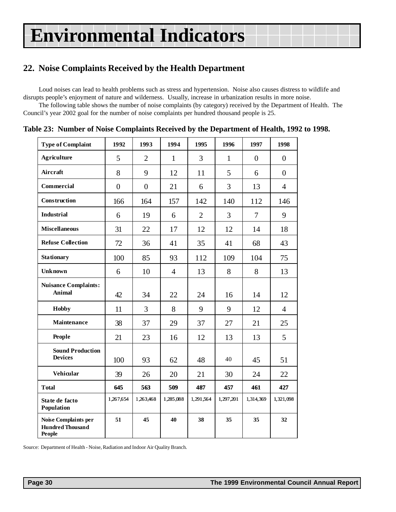# <span id="page-29-0"></span>**22. Noise Complaints Received by the Health Department**

Loud noises can lead to health problems such as stress and hypertension. Noise also causes distress to wildlife and disrupts people's enjoyment of nature and wilderness. Usually, increase in urbanization results in more noise.

The following table shows the number of noise complaints (by category) received by the Department of Health. The Council's year 2002 goal for the number of noise complaints per hundred thousand people is 25.

| <b>Type of Complaint</b>                                         | 1992           | 1993           | 1994           | 1995           | 1996         | 1997           | 1998           |
|------------------------------------------------------------------|----------------|----------------|----------------|----------------|--------------|----------------|----------------|
| <b>Agriculture</b>                                               | 5              | $\overline{2}$ | $\mathbf{1}$   | $\overline{3}$ | $\mathbf{1}$ | $\overline{0}$ | $\overline{0}$ |
| Aircraft                                                         | 8              | 9              | 12             | 11             | 5            | 6              | $\overline{0}$ |
| Commercial                                                       | $\overline{0}$ | $\overline{0}$ | 21             | 6              | 3            | 13             | $\overline{4}$ |
| Construction                                                     | 166            | 164            | 157            | 142            | 140          | 112            | 146            |
| <b>Industrial</b>                                                | 6              | 19             | 6              | $\overline{2}$ | 3            | 7              | 9              |
| <b>Miscellaneous</b>                                             | 31             | 22             | 17             | 12             | 12           | 14             | 18             |
| <b>Refuse Collection</b>                                         | 72             | 36             | 41             | 35             | 41           | 68             | 43             |
| <b>Stationary</b>                                                | 100            | 85             | 93             | 112            | 109          | 104            | 75             |
| <b>Unknown</b>                                                   | 6              | 10             | $\overline{4}$ | 13             | 8            | 8              | 13             |
| <b>Nuisance Complaints:</b><br><b>Animal</b>                     | 42             | 34             | 22             | 24             | 16           | 14             | 12             |
| <b>Hobby</b>                                                     | 11             | 3              | 8              | 9              | 9            | 12             | $\overline{4}$ |
| Maintenance                                                      | 38             | 37             | 29             | 37             | 27           | 21             | 25             |
| People                                                           | 21             | 23             | 16             | 12             | 13           | 13             | 5              |
| <b>Sound Production</b><br><b>Devices</b>                        | 100            | 93             | 62             | 48             | 40           | 45             | 51             |
| Vehicular                                                        | 39             | 26             | 20             | 21             | 30           | 24             | 22             |
| <b>Total</b>                                                     | 645            | 563            | 509            | 487            | 457          | 461            | 427            |
| State de facto<br>Population                                     | 1,267,654      | 1,263,468      | 1,285,088      | 1,291,564      | 1,297,201    | 1,314,369      | 1,321,098      |
| Noise Complaints per<br><b>Hundred Thousand</b><br><b>People</b> | 51             | 45             | 40             | 38             | 35           | 35             | 32             |

**Table 23: Number of Noise Complaints Received by the Department of Health, 1992 to 1998.**

Source: Department of Health - Noise, Radiation and Indoor Air Quality Branch.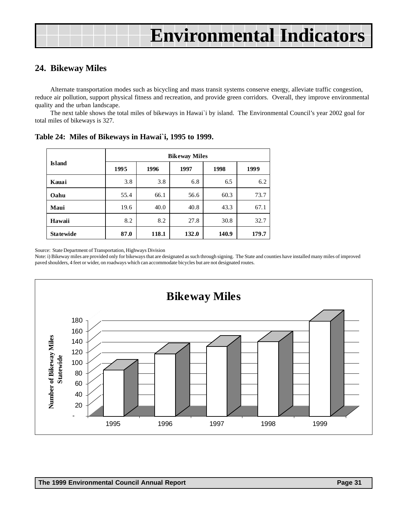### <span id="page-30-0"></span>**24. Bikeway Miles**

Alternate transportation modes such as bicycling and mass transit systems conserve energy, alleviate traffic congestion, reduce air pollution, support physical fitness and recreation, and provide green corridors. Overall, they improve environmental quality and the urban landscape.

The next table shows the total miles of bikeways in Hawai`i by island. The Environmental Council's year 2002 goal for total miles of bikeways is 327.

|                  |      | <b>Bikeway Miles</b> |       |       |       |  |  |  |  |
|------------------|------|----------------------|-------|-------|-------|--|--|--|--|
| <b>Island</b>    | 1995 | 1996                 | 1997  | 1998  | 1999  |  |  |  |  |
| Kauai            | 3.8  | 3.8                  | 6.8   | 6.5   | 6.2   |  |  |  |  |
| Oahu             | 55.4 | 66.1                 | 56.6  | 60.3  | 73.7  |  |  |  |  |
| Maui             | 19.6 | 40.0                 | 40.8  | 43.3  | 67.1  |  |  |  |  |
| Hawaii           | 8.2  | 8.2                  | 27.8  | 30.8  | 32.7  |  |  |  |  |
| <b>Statewide</b> | 87.0 | 118.1                | 132.0 | 140.9 | 179.7 |  |  |  |  |

**Table 24: Miles of Bikeways in Hawai`i, 1995 to 1999.**

Source: State Department of Transportation, Highways Division

Note: i) Bikeway miles are provided only for bikeways that are designated as such through signing. The State and counties have installed many miles of improved paved shoulders, 4 feet or wider, on roadways which can accommodate bicycles but are not designated routes.

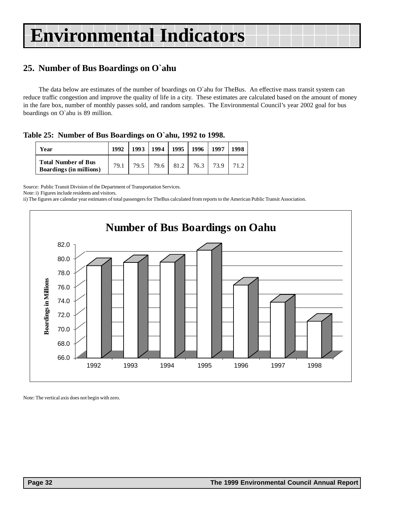# <span id="page-31-0"></span>**25. Number of Bus Boardings on O`ahu**

The data below are estimates of the number of boardings on O`ahu for TheBus. An effective mass transit system can reduce traffic congestion and improve the quality of life in a city. These estimates are calculated based on the amount of money in the fare box, number of monthly passes sold, and random samples. The Environmental Council's year 2002 goal for bus boardings on O`ahu is 89 million.

**Table 25: Number of Bus Boardings on O`ahu, 1992 to 1998.**

| Year                                                         | 1992 | 1993 | 1994   1995   1996   1997 |  |                           | 1998 |
|--------------------------------------------------------------|------|------|---------------------------|--|---------------------------|------|
| <b>Total Number of Bus</b><br><b>Boardings (in millions)</b> | 79.1 | 79.5 |                           |  | 79.6   81.2   76.3   73.9 | 71 2 |

Source: Public Transit Division of the Department of Transportation Services.

Note: i) Figures include residents and visitors.

ii) The figures are calendar year estimates of total passengers for TheBus calculated from reports to the American Public Transit Association.



Note: The vertical axis does not begin with zero.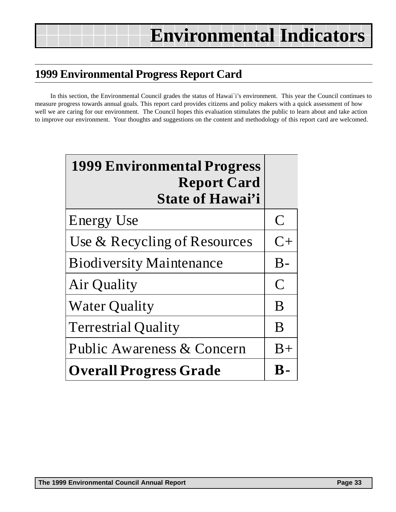# <span id="page-32-0"></span>**1999 Environmental Progress Report Card**

In this section, the Environmental Council grades the status of Hawai`i's environment. This year the Council continues to measure progress towards annual goals. This report card provides citizens and policy makers with a quick assessment of how well we are caring for our environment. The Council hopes this evaluation stimulates the public to learn about and take action to improve our environment. Your thoughts and suggestions on the content and methodology of this report card are welcomed.

| <b>1999 Environmental Progress</b><br><b>Report Card</b><br><b>State of Hawai'i</b> |                |
|-------------------------------------------------------------------------------------|----------------|
| <b>Energy Use</b>                                                                   | $\mathsf{C}$   |
| Use & Recycling of Resources                                                        | $C+$           |
| <b>Biodiversity Maintenance</b>                                                     | $B -$          |
| Air Quality                                                                         | $\overline{C}$ |
| <b>Water Quality</b>                                                                | B              |
| <b>Terrestrial Quality</b>                                                          | B              |
| Public Awareness & Concern                                                          | $B+$           |
| <b>Overall Progress Grade</b>                                                       | К-             |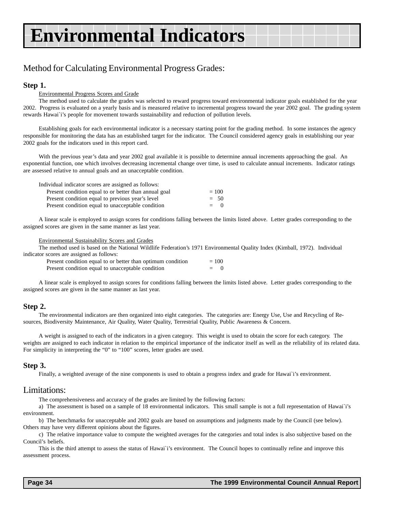# Method for Calculating Environmental Progress Grades:

#### **Step 1.**

#### Environmental Progress Scores and Grade

The method used to calculate the grades was selected to reward progress toward environmental indicator goals established for the year 2002. Progress is evaluated on a yearly basis and is measured relative to incremental progress toward the year 2002 goal. The grading system rewards Hawai`i's people for movement towards sustainability and reduction of pollution levels.

Establishing goals for each environmental indicator is a necessary starting point for the grading method. In some instances the agency responsible for monitoring the data has an established target for the indicator. The Council considered agency goals in establishing our year 2002 goals for the indicators used in this report card.

With the previous year's data and year 2002 goal available it is possible to determine annual increments approaching the goal. An exponential function, one which involves decreasing incremental change over time, is used to calculate annual increments. Indicator ratings are assessed relative to annual goals and an unacceptable condition.

| Individual indicator scores are assigned as follows:  |         |
|-------------------------------------------------------|---------|
| Present condition equal to or better than annual goal | $= 100$ |
| Present condition equal to previous year's level      | $= 50$  |
| Present condition equal to unacceptable condition     | $= 0$   |

A linear scale is employed to assign scores for conditions falling between the limits listed above. Letter grades corresponding to the assigned scores are given in the same manner as last year.

#### Environmental Sustainability Scores and Grades

The method used is based on the National Wildlife Federation's 1971 Environmental Quality Index (Kimball, 1972). Individual indicator scores are assigned as follows:

| Present condition equal to or better than optimum condition |     | $= 100$ |  |
|-------------------------------------------------------------|-----|---------|--|
| Present condition equal to unacceptable condition           | $=$ |         |  |

A linear scale is employed to assign scores for conditions falling between the limits listed above. Letter grades corresponding to the assigned scores are given in the same manner as last year.

#### **Step 2.**

The environmental indicators are then organized into eight categories. The categories are: Energy Use, Use and Recycling of Resources, Biodiversity Maintenance, Air Quality, Water Quality, Terrestrial Quality, Public Awareness & Concern.

A weight is assigned to each of the indicators in a given category. This weight is used to obtain the score for each category. The weights are assigned to each indicator in relation to the empirical importance of the indicator itself as well as the reliability of its related data. For simplicity in interpreting the "0" to "100" scores, letter grades are used.

#### **Step 3.**

Finally, a weighted average of the nine components is used to obtain a progress index and grade for Hawai`i's environment.

#### Limitations:

The comprehensiveness and accuracy of the grades are limited by the following factors:

a) The assessment is based on a sample of 18 environmental indicators. This small sample is not a full representation of Hawai`i's environment.

b) The benchmarks for unacceptable and 2002 goals are based on assumptions and judgments made by the Council (see below). Others may have very different opinions about the figures.

c) The relative importance value to compute the weighted averages for the categories and total index is also subjective based on the Council's beliefs.

This is the third attempt to assess the status of Hawai`i's environment. The Council hopes to continually refine and improve this assessment process.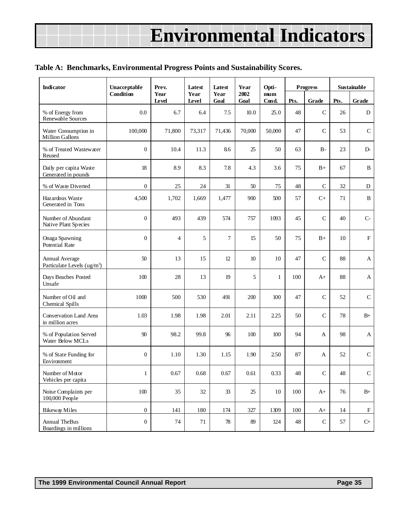#### **Table A: Benchmarks, Environmental Progress Points and Sustainability Scores.**

| <b>Indicator</b>                                          | Unacceptable     | Prev.         | Latest        | Latest       | Year         | Opti-                    | <b>Progress</b> |               | Sustainable |                   |
|-----------------------------------------------------------|------------------|---------------|---------------|--------------|--------------|--------------------------|-----------------|---------------|-------------|-------------------|
|                                                           | Condition        | Year<br>Level | Year<br>Level | Year<br>Goal | 2002<br>Goal | m <sub>um</sub><br>Cond. | Pts.            | Grade         | Pts.        | Grade             |
| % of Energy from<br>Renewable Sources                     | 0.0              | 6.7           | 6.4           | 7.5          | 10.0         | 25.0                     | 48              | $\mathsf{C}$  | 26          | D                 |
| Water Consumption in<br><b>Million Gallons</b>            | 100,000          | 71,800        | 73,317        | 71,436       | 70,000       | 50,000                   | 47              | $\mathsf{C}$  | 53          | $\mathsf C$       |
| % of Treated Wastewater<br>Reused                         | $\overline{0}$   | 10.4          | 11.3          | 8.6          | 25           | 50                       | 63              | $B -$         | 23          | $D -$             |
| Daily per capita Waste<br>Generated in pounds             | 18               | 8.9           | 8.3           | 7.8          | 4.3          | 3.6                      | 75              | $B+$          | 67          | $\, {\bf B}$      |
| % of Waste Diverted                                       | $\mathbf{0}$     | 25            | 24            | 31           | 50           | 75                       | 48              | $\mathsf{C}$  | 32          | ${\bf D}$         |
| Hazardous Waste<br>Generated in Tons                      | 4,500            | 1,702         | 1,669         | 1,477        | 900          | 500                      | 57              | $C+$          | 71          | $\, {\bf B}$      |
| Number of Abundant<br>Native Plant Species                | $\overline{0}$   | 493           | 439           | 574          | 757          | 1093                     | 45              | $\mathcal{C}$ | 40          | $C-$              |
| Onaga Spawning<br><b>Potential Rate</b>                   | $\boldsymbol{0}$ | 4             | 5             | 7            | 15           | 50                       | 75              | $B+$          | 10          | $\mathbf F$       |
| Annual Average<br>Particulate Levels (ug/m <sup>3</sup> ) | 50               | 13            | 15            | 12           | $10$         | 10                       | 47              | $\mathcal{C}$ | 88          | $\mathbf{A}$      |
| Days Beaches Posted<br>Unsafe                             | 100              | 28            | 13            | 19           | 5            | $\mathbf{1}$             | 100             | A+            | 88          | $\mathbf A$       |
| Number of Oil and<br>Chemical Spills                      | 1000             | 500           | 530           | 491          | 200          | 100                      | 47              | $\mathsf{C}$  | 52          | $\mathcal{C}$     |
| Conservation Land Area<br>in million acres                | 1.03             | 1.98          | 1.98          | 2.01         | 2.11         | 2.25                     | 50              | $\mathsf{C}$  | 78          | $B+$              |
| % of Population Served<br>Water Below MCLs                | 90               | 98.2          | 99.8          | 96           | 100          | 100                      | 94              | A             | 98          | A                 |
| % of State Funding for<br>Environment                     | 0                | 1.10          | 1.30          | 1.15         | 1.90         | 2.50                     | 87              | A             | 52          | $\mathcal{C}$     |
| Number of Motor<br>Vehicles per capita                    | $\mathbf{1}$     | 0.67          | 0.68          | 0.67         | 0.61         | 0.33                     | 48              | ${\bf C}$     | 48          | $\mathsf C$       |
| Noise Complaints per<br>100,000 People                    | $100\,$          | 35            | 32            | 33           | $25\,$       | $10\,$                   | 100             | $A+$          | 76          | $\rm B+$          |
| <b>Bikeway Miles</b>                                      | $\boldsymbol{0}$ | 141           | 180           | 174          | 327          | 1309                     | 100             | $A+$          | 14          | $_{\rm F}$        |
| <b>Annual TheBus</b><br>Boardings in millions             | $\boldsymbol{0}$ | 74            | 71            | $78\,$       | 89           | 124                      | 48              | ${\bf C}$     | 57          | $\mathrm{C}\!+\!$ |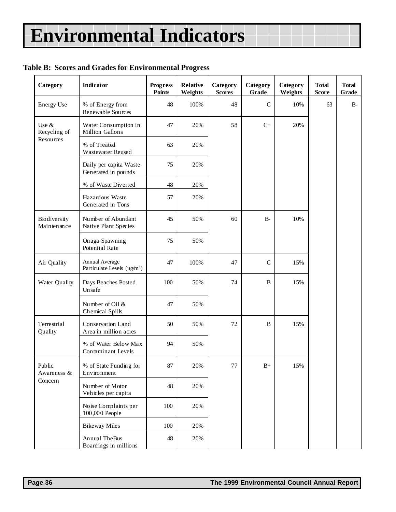### **Table B: Scores and Grades for Environmental Progress**

| Category                           | <b>Indicator</b>                                          | <b>Progress</b><br><b>Points</b> | <b>Relative</b><br>Weights | Category<br><b>Scores</b> | Category<br>Grade | Category<br>Weights | <b>Total</b><br><b>Score</b> | <b>Total</b><br>Grade |
|------------------------------------|-----------------------------------------------------------|----------------------------------|----------------------------|---------------------------|-------------------|---------------------|------------------------------|-----------------------|
| <b>Energy Use</b>                  | % of Energy from<br>Renewable Sources                     | 48                               | 100%                       | 48                        | $\mathbf C$       | 10%                 | 63                           | $B-$                  |
| Use &<br>Recycling of<br>Resources | Water Consumption in<br>Million Gallons                   | 47                               | 20%                        | 58                        | $C+$              | 20%                 |                              |                       |
|                                    | % of Treated<br><b>Wastewater Reused</b>                  | 63                               | 20%                        |                           |                   |                     |                              |                       |
|                                    | Daily per capita Waste<br>Generated in pounds             | 75                               | 20%                        |                           |                   |                     |                              |                       |
|                                    | % of Waste Diverted                                       | 48                               | 20%                        |                           |                   |                     |                              |                       |
|                                    | Hazardous Waste<br>Generated in Tons                      | 57                               | 20%                        |                           |                   |                     |                              |                       |
| Biodiversity<br>Maintenance        | Number of Abundant<br>Native Plant Species                | 45                               | 50%                        | 60                        | $B-$              | 10%                 |                              |                       |
|                                    | Onaga Spawning<br>Potential Rate                          | 75                               | 50%                        |                           |                   |                     |                              |                       |
| Air Quality                        | Annual Average<br>Particulate Levels (ug/m <sup>3</sup> ) | 47                               | 100%                       | 47                        | $\mathbf C$       | 15%                 |                              |                       |
| Water Quality                      | Days Beaches Posted<br>Unsafe                             | 100                              | 50%                        | 74                        | $\bf{B}$          | 15%                 |                              |                       |
|                                    | Number of Oil &<br>Chemical Spills                        | 47                               | 50%                        |                           |                   |                     |                              |                       |
| Terrestrial<br>Quality             | Conservation Land<br>Area in million acres                | 50                               | 50%                        | 72                        | B                 | 15%                 |                              |                       |
|                                    | % of Water Below Max<br>Contaminant Levels                | 94                               | 50%                        |                           |                   |                     |                              |                       |
| Public<br>Awareness &              | % of State Funding for<br>Environment                     | 87                               | 20%                        | 77                        | $B+$              | 15%                 |                              |                       |
| Concern                            | Number of Motor<br>Vehicles per capita                    | 48                               | 20%                        |                           |                   |                     |                              |                       |
|                                    | Noise Complaints per<br>100,000 People                    | 100                              | 20%                        |                           |                   |                     |                              |                       |
|                                    | <b>Bikeway Miles</b>                                      | 100                              | 20%                        |                           |                   |                     |                              |                       |
|                                    | <b>Annual TheBus</b><br>Boardings in millions             | 48                               | 20%                        |                           |                   |                     |                              |                       |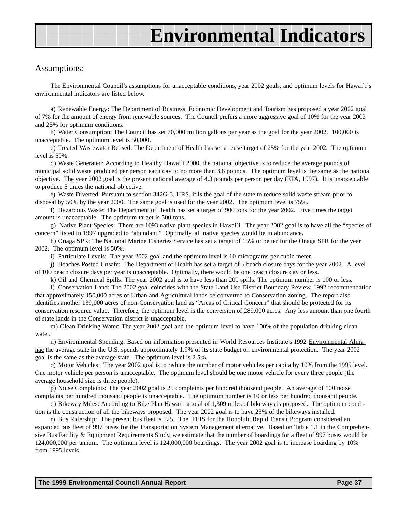#### Assumptions:

The Environmental Council's assumptions for unacceptable conditions, year 2002 goals, and optimum levels for Hawai`i's environmental indicators are listed below.

a) Renewable Energy: The Department of Business, Economic Development and Tourism has proposed a year 2002 goal of 7% for the amount of energy from renewable sources. The Council prefers a more aggressive goal of 10% for the year 2002 and 25% for optimum conditions.

b) Water Consumption: The Council has set 70,000 million gallons per year as the goal for the year 2002. 100,000 is unacceptable. The optimum level is 50,000.

c) Treated Wastewater Reused: The Department of Health has set a reuse target of 25% for the year 2002. The optimum level is 50%.

d) Waste Generated: According to Healthy Hawai`i 2000, the national objective is to reduce the average pounds of municipal solid waste produced per person each day to no more than 3.6 pounds. The optimum level is the same as the national objective. The year 2002 goal is the present national average of 4.3 pounds per person per day (EPA, 1997). It is unacceptable to produce 5 times the national objective.

e) Waste Diverted: Pursuant to section 342G-3, HRS, it is the goal of the state to reduce solid waste stream prior to disposal by 50% by the year 2000. The same goal is used for the year 2002. The optimum level is 75%.

f) Hazardous Waste: The Department of Health has set a target of 900 tons for the year 2002. Five times the target amount is unacceptable. The optimum target is 500 tons.

g) Native Plant Species: There are 1093 native plant species in Hawai`i. The year 2002 goal is to have all the "species of concern" listed in 1997 upgraded to "abundant." Optimally, all native species would be in abundance.

h) Onaga SPR: The National Marine Fisheries Service has set a target of 15% or better for the Onaga SPR for the year 2002. The optimum level is 50%.

i) Particulate Levels: The year 2002 goal and the optimum level is 10 micrograms per cubic meter.

j) Beaches Posted Unsafe: The Department of Health has set a target of 5 beach closure days for the year 2002. A level of 100 beach closure days per year is unacceptable. Optimally, there would be one beach closure day or less.

k) Oil and Chemical Spills: The year 2002 goal is to have less than 200 spills. The optimum number is 100 or less.

l) Conservation Land: The 2002 goal coincides with the State Land Use District Boundary Review, 1992 recommendation that approximately 150,000 acres of Urban and Agricultural lands be converted to Conservation zoning. The report also identifies another 139,000 acres of non-Conservation land as "Areas of Critical Concern" that should be protected for its conservation resource value. Therefore, the optimum level is the conversion of 289,000 acres. Any less amount than one fourth of state lands in the Conservation district is unacceptable.

m) Clean Drinking Water: The year 2002 goal and the optimum level to have 100% of the population drinking clean water.

n) Environmental Spending: Based on information presented in World Resources Institute's 1992 Environmental Almanac the average state in the U.S. spends approximately 1.9% of its state budget on environmental protection. The year 2002 goal is the same as the average state. The optimum level is 2.5%.

o) Motor Vehicles: The year 2002 goal is to reduce the number of motor vehicles per capita by 10% from the 1995 level. One motor vehicle per person is unacceptable. The optimum level should be one motor vehicle for every three people (the average household size is three people).

p) Noise Complaints: The year 2002 goal is 25 complaints per hundred thousand people. An average of 100 noise complaints per hundred thousand people is unacceptable. The optimum number is 10 or less per hundred thousand people.

q) Bikeway Miles: According to Bike Plan Hawai`i a total of 1,309 miles of bikeways is proposed. The optimum condition is the construction of all the bikeways proposed. The year 2002 goal is to have 25% of the bikeways installed.

r) Bus Ridership: The present bus fleet is 525. The FEIS for the Honolulu Rapid Transit Program considered an expanded bus fleet of 997 buses for the Transportation System Management alternative. Based on Table 1.1 in the Comprehensive Bus Facility & Equipment Requirements Study, we estimate that the number of boardings for a fleet of 997 buses would be 124,000,000 per annum. The optimum level is 124,000,000 boardings. The year 2002 goal is to increase boarding by 10% from 1995 levels.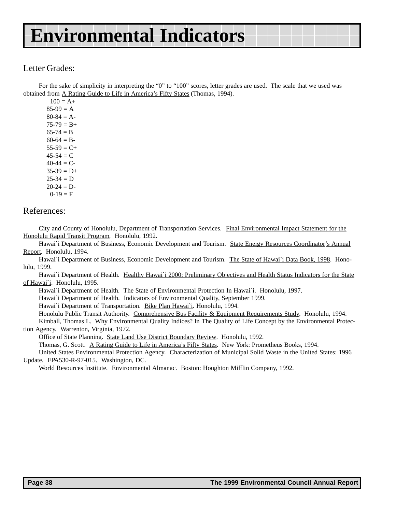### Letter Grades:

For the sake of simplicity in interpreting the "0" to "100" scores, letter grades are used. The scale that we used was obtained from A Rating Guide to Life in America's Fifty States (Thomas, 1994).

| $100 = A +$   |
|---------------|
| $85-99 = A$   |
| $80-84 = A-$  |
| $75-79 = B+$  |
| $65-74 = B$   |
| $60-64 = B -$ |
| $55-59 = C+$  |
| 45-54 = C     |
| 40-44 $= C$ - |
| $35-39 = D+$  |
| $25 - 34 = D$ |
| $20-24 = D-$  |
| $0-19 = F$    |

### References:

City and County of Honolulu, Department of Transportation Services. Final Environmental Impact Statement for the Honolulu Rapid Transit Program. Honolulu, 1992.

Hawai`i Department of Business, Economic Development and Tourism. State Energy Resources Coordinator's Annual Report. Honolulu, 1994.

Hawai'i Department of Business, Economic Development and Tourism. The State of Hawai'i Data Book, 1998. Honolulu, 1999.

Hawai'i Department of Health. Healthy Hawai'i 2000: Preliminary Objectives and Health Status Indicators for the State of Hawai`i. Honolulu, 1995.

Hawai`i Department of Health. The State of Environmental Protection In Hawai`i. Honolulu, 1997.

Hawai`i Department of Health. Indicators of Environmental Quality, September 1999.

Hawai`i Department of Transportation. Bike Plan Hawai`i. Honolulu, 1994.

Honolulu Public Transit Authority. Comprehensive Bus Facility & Equipment Requirements Study. Honolulu, 1994.

Kimball, Thomas L. Why Environmental Quality Indices? In The Quality of Life Concept by the Environmental Protection Agency. Warrenton, Virginia, 1972.

Office of State Planning. State Land Use District Boundary Review. Honolulu, 1992.

Thomas, G. Scott. A Rating Guide to Life in America's Fifty States. New York: Prometheus Books, 1994.

United States Environmental Protection Agency. Characterization of Municipal Solid Waste in the United States: 1996 Update. EPA530-R-97-015. Washington, DC.

World Resources Institute. Environmental Almanac. Boston: Houghton Mifflin Company, 1992.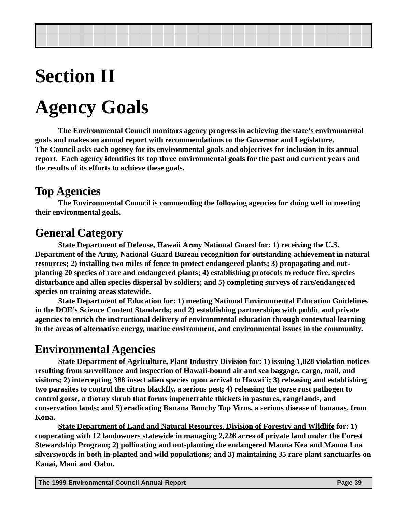# **Section II**

# **Agency Goals**

**The Environmental Council monitors agency progress in achieving the state's environmental goals and makes an annual report with recommendations to the Governor and Legislature. The Council asks each agency for its environmental goals and objectives for inclusion in its annual report. Each agency identifies its top three environmental goals for the past and current years and the results of its efforts to achieve these goals.**

# **Top Agencies**

**The Environmental Council is commending the following agencies for doing well in meeting their environmental goals.**

# **General Category**

**State Department of Defense, Hawaii Army National Guard for: 1) receiving the U.S. Department of the Army, National Guard Bureau recognition for outstanding achievement in natural resources; 2) installing two miles of fence to protect endangered plants; 3) propagating and outplanting 20 species of rare and endangered plants; 4) establishing protocols to reduce fire, species disturbance and alien species dispersal by soldiers; and 5) completing surveys of rare/endangered species on training areas statewide.**

**State Department of Education for: 1) meeting National Environmental Education Guidelines in the DOE's Science Content Standards; and 2) establishing partnerships with public and private agencies to enrich the instructional delivery of environmental education through contextual learning in the areas of alternative energy, marine environment, and environmental issues in the community.**

# **Environmental Agencies**

**State Department of Agriculture, Plant Industry Division for: 1) issuing 1,028 violation notices resulting from surveillance and inspection of Hawaii-bound air and sea baggage, cargo, mail, and visitors; 2) intercepting 388 insect alien species upon arrival to Hawai`i; 3) releasing and establishing two parasites to control the citrus blackfly, a serious pest; 4) releasing the gorse rust pathogen to control gorse, a thorny shrub that forms impenetrable thickets in pastures, rangelands, and conservation lands; and 5) eradicating Banana Bunchy Top Virus, a serious disease of bananas, from Kona.**

**State Department of Land and Natural Resources, Division of Forestry and Wildlife for: 1) cooperating with 12 landowners statewide in managing 2,226 acres of private land under the Forest Stewardship Program; 2) pollinating and out-planting the endangered Mauna Kea and Mauna Loa silverswords in both in-planted and wild populations; and 3) maintaining 35 rare plant sanctuaries on Kauai, Maui and Oahu.**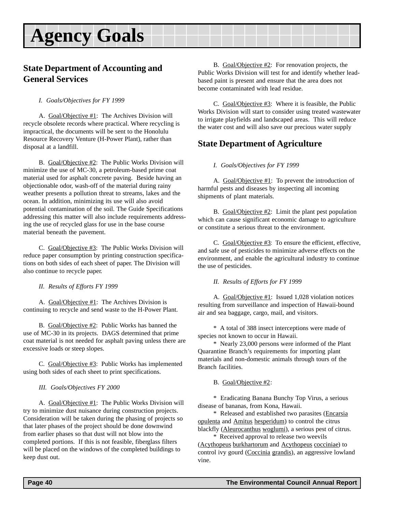### <span id="page-39-0"></span>**State Department of Accounting and General Services**

*I. Goals/Objectives for FY 1999*

A. Goal/Objective #1: The Archives Division will recycle obsolete records where practical. Where recycling is impractical, the documents will be sent to the Honolulu Resource Recovery Venture (H-Power Plant), rather than disposal at a landfill.

B. Goal/Objective #2: The Public Works Division will minimize the use of MC-30, a petroleum-based prime coat material used for asphalt concrete paving. Beside having an objectionable odor, wash-off of the material during rainy weather presents a pollution threat to streams, lakes and the ocean. In addition, minimizing its use will also avoid potential contamination of the soil. The Guide Specifications addressing this matter will also include requirements addressing the use of recycled glass for use in the base course material beneath the pavement.

C. Goal/Objective #3: The Public Works Division will reduce paper consumption by printing construction specifications on both sides of each sheet of paper. The Division will also continue to recycle paper.

*II. Results of Efforts FY 1999*

A. Goal/Objective #1: The Archives Division is continuing to recycle and send waste to the H-Power Plant.

B. Goal/Objective #2: Public Works has banned the use of MC-30 in its projects. DAGS determined that prime coat material is not needed for asphalt paving unless there are excessive loads or steep slopes.

C. Goal/Objective #3: Public Works has implemented using both sides of each sheet to print specifications.

#### *III. Goals/Objectives FY 2000*

A. Goal/Objective #1: The Public Works Division will try to minimize dust nuisance during construction projects. Consideration will be taken during the phasing of projects so that later phases of the project should be done downwind from earlier phases so that dust will not blow into the completed portions. If this is not feasible, fiberglass filters will be placed on the windows of the completed buildings to keep dust out.

B. Goal/Objective #2: For renovation projects, the Public Works Division will test for and identify whether leadbased paint is present and ensure that the area does not become contaminated with lead residue.

C. Goal/Objective #3: Where it is feasible, the Public Works Division will start to consider using treated wastewater to irrigate playfields and landscaped areas. This will reduce the water cost and will also save our precious water supply

# **State Department of Agriculture**

*I. Goals/Objectives for FY 1999*

A. Goal/Objective #1: To prevent the introduction of harmful pests and diseases by inspecting all incoming shipments of plant materials.

B. Goal/Objective #2: Limit the plant pest population which can cause significant economic damage to agriculture or constitute a serious threat to the environment.

C. Goal/Objective #3: To ensure the efficient, effective, and safe use of pesticides to minimize adverse effects on the environment, and enable the agricultural industry to continue the use of pesticides.

*II. Results of Efforts for FY 1999*

A. Goal/Objective #1: Issued 1,028 violation notices resulting from surveillance and inspection of Hawaii-bound air and sea baggage, cargo, mail, and visitors.

\* A total of 388 insect interceptions were made of species not known to occur in Hawaii.

\* Nearly 23,000 persons were informed of the Plant Quarantine Branch's requirements for importing plant materials and non-domestic animals through tours of the Branch facilities.

B. Goal/Objective #2:

\* Eradicating Banana Bunchy Top Virus, a serious disease of bananas, from Kona, Hawaii.

\* Released and established two parasites (Encarsia opulenta and Amitus hesperidum) to control the citrus blackfly (Aleurocanthus woglumi), a serious pest of citrus.

\* Received approval to release two weevils (Acythopeus burkhartorum and Acythopeus cocciniae) to control ivy gourd (Coccinia grandis), an aggressive lowland vine.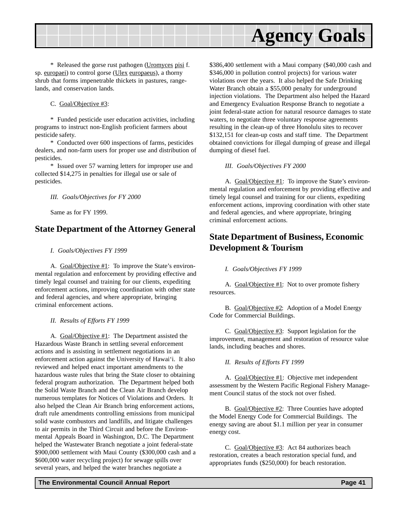<span id="page-40-0"></span>

\* Released the gorse rust pathogen (Uromyces pisi f. sp. europaei) to control gorse (Ulex europaeus), a thorny shrub that forms impenetrable thickets in pastures, rangelands, and conservation lands.

C. Goal/Objective #3:

\* Funded pesticide user education activities, including programs to instruct non-English proficient farmers about pesticide safety.

\* Conducted over 600 inspections of farms, pesticides dealers, and non-farm users for proper use and distribution of pesticides.

\* Issued over 57 warning letters for improper use and collected \$14,275 in penalties for illegal use or sale of pesticides.

*III. Goals/Objectives for FY 2000*

Same as for FY 1999.

### **State Department of the Attorney General**

*I. Goals/Objectives FY 1999*

A. Goal/Objective #1: To improve the State's environmental regulation and enforcement by providing effective and timely legal counsel and training for our clients, expediting enforcement actions, improving coordination with other state and federal agencies, and where appropriate, bringing criminal enforcement actions.

*II. Results of Efforts FY 1999*

A. Goal/Objective #1: The Department assisted the Hazardous Waste Branch in settling several enforcement actions and is assisting in settlement negotiations in an enforcement action against the University of Hawai'i. It also reviewed and helped enact important amendments to the hazardous waste rules that bring the State closer to obtaining federal program authorization. The Department helped both the Solid Waste Branch and the Clean Air Branch develop numerous templates for Notices of Violations and Orders. It also helped the Clean Air Branch bring enforcement actions, draft rule amendments controlling emissions from municipal solid waste combustors and landfills, and litigate challenges to air permits in the Third Circuit and before the Environmental Appeals Board in Washington, D.C. The Department helped the Wastewater Branch negotiate a joint federal-state \$900,000 settlement with Maui County (\$300,000 cash and a \$600,000 water recycling project) for sewage spills over several years, and helped the water branches negotiate a

\$386,400 settlement with a Maui company (\$40,000 cash and \$346,000 in pollution control projects) for various water violations over the years. It also helped the Safe Drinking Water Branch obtain a \$55,000 penalty for underground injection violations. The Department also helped the Hazard and Emergency Evaluation Response Branch to negotiate a joint federal-state action for natural resource damages to state waters, to negotiate three voluntary response agreements resulting in the clean-up of three Honolulu sites to recover \$132,151 for clean-up costs and staff time. The Department obtained convictions for illegal dumping of grease and illegal dumping of diesel fuel.

*III. Goals/Objectives FY 2000*

A. Goal/Objective #1: To improve the State's environmental regulation and enforcement by providing effective and timely legal counsel and training for our clients, expediting enforcement actions, improving coordination with other state and federal agencies, and where appropriate, bringing criminal enforcement actions.

### **State Department of Business, Economic Development & Tourism**

#### *I. Goals/Objectives FY 1999*

A. Goal/Objective #1: Not to over promote fishery resources.

B. Goal/Objective #2: Adoption of a Model Energy Code for Commercial Buildings.

C. Goal/Objective #3: Support legislation for the improvement, management and restoration of resource value lands, including beaches and shores.

#### *II. Results of Efforts FY 1999*

A. Goal/Objective #1: Objective met independent assessment by the Western Pacific Regional Fishery Management Council status of the stock not over fished.

B. Goal/Objective #2: Three Counties have adopted the Model Energy Code for Commercial Buildings. The energy saving are about \$1.1 million per year in consumer energy cost.

C. Goal/Objective #3: Act 84 authorizes beach restoration, creates a beach restoration special fund, and appropriates funds (\$250,000) for beach restoration.

#### **The Environmental Council Annual Report Page 41**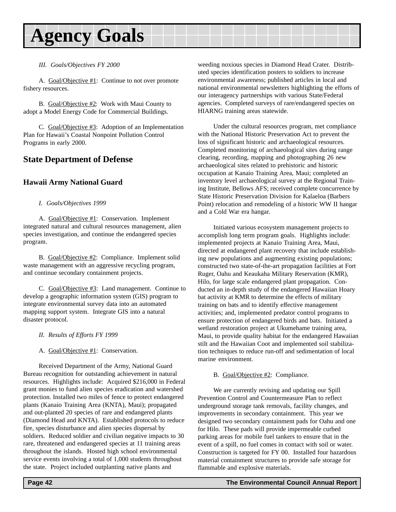#### <span id="page-41-0"></span>*III. Goals/Objectives FY 2000*

A. Goal/Objective #1: Continue to not over promote fishery resources.

B. Goal/Objective #2: Work with Maui County to adopt a Model Energy Code for Commercial Buildings.

C. Goal/Objective #3: Adoption of an Implementation Plan for Hawaii's Coastal Nonpoint Pollution Control Programs in early 2000.

### **State Department of Defense**

#### **Hawaii Army National Guard**

#### *I. Goals/Objectives 1999*

A. Goal/Objective #1: Conservation. Implement integrated natural and cultural resources management, alien species investigation, and continue the endangered species program.

B. Goal/Objective #2: Compliance. Implement solid waste management with an aggressive recycling program, and continue secondary containment projects.

C. Goal/Objective #3: Land management. Continue to develop a geographic information system (GIS) program to integrate environmental survey data into an automated mapping support system. Integrate GIS into a natural disaster protocol.

- *II. Results of Efforts FY 1999*
- A. Goal/Objective #1: Conservation.

Received Department of the Army, National Guard Bureau recognition for outstanding achievement in natural resources. Highlights include: Acquired \$216,000 in Federal grant monies to fund alien species eradication and watershed protection. Installed two miles of fence to protect endangered plants (Kanaio Training Area (KNTA), Maui); propagated and out-planted 20 species of rare and endangered plants (Diamond Head and KNTA). Established protocols to reduce fire, species disturbance and alien species dispersal by soldiers. Reduced soldier and civilian negative impacts to 30 rare, threatened and endangered species at 11 training areas throughout the islands. Hosted high school environmental service events involving a total of 1,000 students throughout the state. Project included outplanting native plants and

weeding noxious species in Diamond Head Crater. Distributed species identification posters to soldiers to increase environmental awareness; published articles in local and national environmental newsletters highlighting the efforts of our interagency partnerships with various State/Federal agencies. Completed surveys of rare/endangered species on HIARNG training areas statewide.

Under the cultural resources program, met compliance with the National Historic Preservation Act to prevent the loss of significant historic and archaeological resources. Completed monitoring of archaeological sites during range clearing, recording, mapping and photographing 26 new archaeological sites related to prehistoric and historic occupation at Kanaio Training Area, Maui; completed an inventory level archaeological survey at the Regional Training Institute, Bellows AFS; received complete concurrence by State Historic Preservation Division for Kalaeloa (Barbers Point) relocation and remodeling of a historic WW II hangar and a Cold War era hangar.

Initiated various ecosystem management projects to accomplish long term program goals. Highlights include: implemented projects at Kanaio Training Area, Maui, directed at endangered plant recovery that include establishing new populations and augmenting existing populations; constructed two state-of-the-art propagation facilities at Fort Ruger, Oahu and Keaukaha Military Reservation (KMR), Hilo, for large scale endangered plant propagation. Conducted an in-depth study of the endangered Hawaiian Hoary bat activity at KMR to determine the effects of military training on bats and to identify effective management activities; and, implemented predator control programs to ensure protection of endangered birds and bats. Initiated a wetland restoration project at Ukumehame training area, Maui, to provide quality habitat for the endangered Hawaiian stilt and the Hawaiian Coot and implemented soil stabilization techniques to reduce run-off and sedimentation of local marine environment.

#### B. Goal/Objective #2: Compliance.

We are currently revising and updating our Spill Prevention Control and Countermeasure Plan to reflect underground storage tank removals, facility changes, and improvements in secondary containment. This year we designed two secondary containment pads for Oahu and one for Hilo. These pads will provide impermeable curbed parking areas for mobile fuel tankers to ensure that in the event of a spill, no fuel comes in contact with soil or water. Construction is targeted for FY 00. Installed four hazardous material containment structures to provide safe storage for flammable and explosive materials.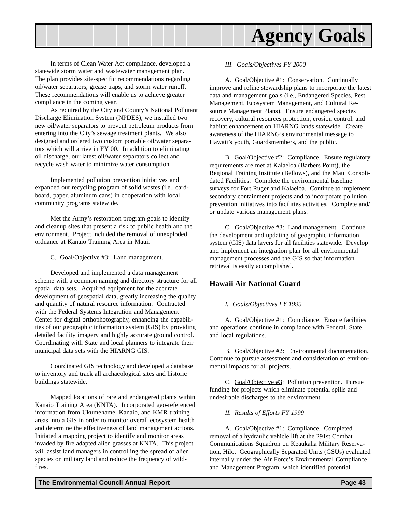<span id="page-42-0"></span>

In terms of Clean Water Act compliance, developed a statewide storm water and wastewater management plan. The plan provides site-specific recommendations regarding oil/water separators, grease traps, and storm water runoff. These recommendations will enable us to achieve greater compliance in the coming year.

As required by the City and County's National Pollutant Discharge Elimination System (NPDES), we installed two new oil/water separators to prevent petroleum products from entering into the City's sewage treatment plants. We also designed and ordered two custom portable oil/water separators which will arrive in FY 00. In addition to eliminating oil discharge, our latest oil/water separators collect and recycle wash water to minimize water consumption.

Implemented pollution prevention initiatives and expanded our recycling program of solid wastes (i.e., cardboard, paper, aluminum cans) in cooperation with local community programs statewide.

Met the Army's restoration program goals to identify and cleanup sites that present a risk to public health and the environment. Project included the removal of unexploded ordnance at Kanaio Training Area in Maui.

C. Goal/Objective #3: Land management.

Developed and implemented a data management scheme with a common naming and directory structure for all spatial data sets. Acquired equipment for the accurate development of geospatial data, greatly increasing the quality and quantity of natural resource information. Contracted with the Federal Systems Integration and Management Center for digital orthophotography, enhancing the capabilities of our geographic information system (GIS) by providing detailed facility imagery and highly accurate ground control. Coordinating with State and local planners to integrate their municipal data sets with the HIARNG GIS.

Coordinated GIS technology and developed a database to inventory and track all archaeological sites and historic buildings statewide.

Mapped locations of rare and endangered plants within Kanaio Training Area (KNTA). Incorporated geo-referenced information from Ukumehame, Kanaio, and KMR training areas into a GIS in order to monitor overall ecosystem health and determine the effectiveness of land management actions. Initiated a mapping project to identify and monitor areas invaded by fire adapted alien grasses at KNTA. This project will assist land managers in controlling the spread of alien species on military land and reduce the frequency of wildfires.

#### *III. Goals/Objectives FY 2000*

A. Goal/Objective #1: Conservation. Continually improve and refine stewardship plans to incorporate the latest data and management goals (i.e., Endangered Species, Pest Management, Ecosystem Management, and Cultural Resource Management Plans). Ensure endangered species recovery, cultural resources protection, erosion control, and habitat enhancement on HIARNG lands statewide. Create awareness of the HIARNG's environmental message to Hawaii's youth, Guardsmembers, and the public.

B. Goal/Objective #2: Compliance. Ensure regulatory requirements are met at Kalaeloa (Barbers Point), the Regional Training Institute (Bellows), and the Maui Consolidated Facilities. Complete the environmental baseline surveys for Fort Ruger and Kalaeloa. Continue to implement secondary containment projects and to incorporate pollution prevention initiatives into facilities activities. Complete and/ or update various management plans.

C. Goal/Objective #3: Land management. Continue the development and updating of geographic information system (GIS) data layers for all facilities statewide. Develop and implement an integration plan for all environmental management processes and the GIS so that information retrieval is easily accomplished.

#### **Hawaii Air National Guard**

#### *I. Goals/Objectives FY 1999*

A. Goal/Objective #1: Compliance. Ensure facilities and operations continue in compliance with Federal, State, and local regulations.

B. Goal/Objective #2: Environmental documentation. Continue to pursue assessment and consideration of environmental impacts for all projects.

C. Goal/Objective #3: Pollution prevention. Pursue funding for projects which eliminate potential spills and undesirable discharges to the environment.

#### *II. Results of Efforts FY 1999*

A. Goal/Objective #1: Compliance. Completed removal of a hydraulic vehicle lift at the 291st Combat Communications Squadron on Keaukaha Military Reservation, Hilo. Geographically Separated Units (GSUs) evaluated internally under the Air Force's Environmental Compliance and Management Program, which identified potential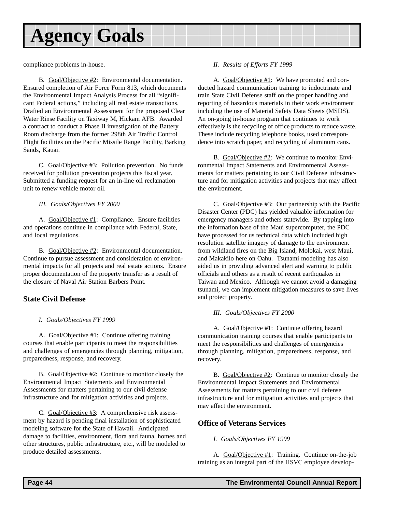<span id="page-43-0"></span>compliance problems in-house.

B. Goal/Objective #2: Environmental documentation. Ensured completion of Air Force Form 813, which documents the Environmental Impact Analysis Process for all "significant Federal actions," including all real estate transactions. Drafted an Environmental Assessment for the proposed Clear Water Rinse Facility on Taxiway M, Hickam AFB. Awarded a contract to conduct a Phase II investigation of the Battery Room discharge from the former 298th Air Traffic Control Flight facilities on the Pacific Missile Range Facility, Barking Sands, Kauai.

C. Goal/Objective #3: Pollution prevention. No funds received for pollution prevention projects this fiscal year. Submitted a funding request for an in-line oil reclamation unit to renew vehicle motor oil.

#### *III. Goals/Objectives FY 2000*

A. Goal/Objective #1: Compliance. Ensure facilities and operations continue in compliance with Federal, State, and local regulations.

B. Goal/Objective #2: Environmental documentation. Continue to pursue assessment and consideration of environmental impacts for all projects and real estate actions. Ensure proper documentation of the property transfer as a result of the closure of Naval Air Station Barbers Point.

#### **State Civil Defense**

#### *I. Goals/Objectives FY 1999*

A. Goal/Objective #1: Continue offering training courses that enable participants to meet the responsibilities and challenges of emergencies through planning, mitigation, preparedness, response, and recovery.

B. Goal/Objective #2: Continue to monitor closely the Environmental Impact Statements and Environmental Assessments for matters pertaining to our civil defense infrastructure and for mitigation activities and projects.

C. Goal/Objective #3: A comprehensive risk assessment by hazard is pending final installation of sophisticated modeling software for the State of Hawaii. Anticipated damage to facilities, environment, flora and fauna, homes and other structures, public infrastructure, etc., will be modeled to produce detailed assessments.

#### *II. Results of Efforts FY 1999*

A. Goal/Objective #1: We have promoted and conducted hazard communication training to indoctrinate and train State Civil Defense staff on the proper handling and reporting of hazardous materials in their work environment including the use of Material Safety Data Sheets (MSDS). An on-going in-house program that continues to work effectively is the recycling of office products to reduce waste. These include recycling telephone books, used correspondence into scratch paper, and recycling of aluminum cans.

B. Goal/Objective #2: We continue to monitor Environmental Impact Statements and Environmental Assessments for matters pertaining to our Civil Defense infrastructure and for mitigation activities and projects that may affect the environment.

C. Goal/Objective #3: Our partnership with the Pacific Disaster Center (PDC) has yielded valuable information for emergency managers and others statewide. By tapping into the information base of the Maui supercomputer, the PDC have processed for us technical data which included high resolution satellite imagery of damage to the environment from wildland fires on the Big Island, Molokai, west Maui, and Makakilo here on Oahu. Tsunami modeling has also aided us in providing advanced alert and warning to public officials and others as a result of recent earthquakes in Taiwan and Mexico. Although we cannot avoid a damaging tsunami, we can implement mitigation measures to save lives and protect property.

#### *III. Goals/Objectives FY 2000*

A. Goal/Objective #1: Continue offering hazard communication training courses that enable participants to meet the responsibilities and challenges of emergencies through planning, mitigation, preparedness, response, and recovery.

B. Goal/Objective  $#2$ : Continue to monitor closely the Environmental Impact Statements and Environmental Assessments for matters pertaining to our civil defense infrastructure and for mitigation activities and projects that may affect the environment.

#### **Office of Veterans Services**

#### *I. Goals/Objectives FY 1999*

A. Goal/Objective #1: Training. Continue on-the-job training as an integral part of the HSVC employee develop-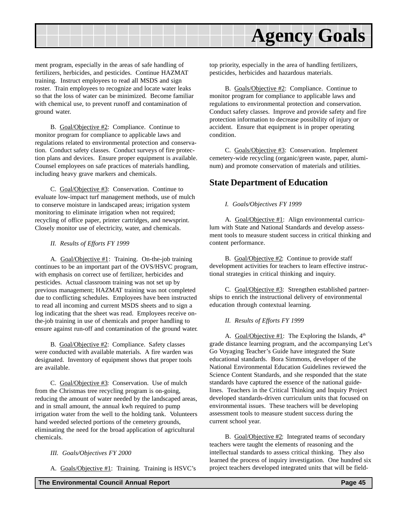<span id="page-44-0"></span>

ment program, especially in the areas of safe handling of fertilizers, herbicides, and pesticides. Continue HAZMAT training. Instruct employees to read all MSDS and sign roster. Train employees to recognize and locate water leaks so that the loss of water can be minimized. Become familiar with chemical use, to prevent runoff and contamination of ground water.

B. Goal/Objective #2: Compliance. Continue to monitor program for compliance to applicable laws and regulations related to environmental protection and conservation. Conduct safety classes. Conduct surveys of fire protection plans and devices. Ensure proper equipment is available. Counsel employees on safe practices of materials handling, including heavy grave markers and chemicals.

C. Goal/Objective #3: Conservation. Continue to evaluate low-impact turf management methods, use of mulch to conserve moisture in landscaped areas; irrigation system monitoring to eliminate irrigation when not required; recycling of office paper, printer cartridges, and newsprint. Closely monitor use of electricity, water, and chemicals.

#### *II. Results of Efforts FY 1999*

A. Goal/Objective #1: Training. On-the-job training continues to be an important part of the OVS/HSVC program, with emphasis on correct use of fertilizer, herbicides and pesticides. Actual classroom training was not set up by previous management; HAZMAT training was not completed due to conflicting schedules. Employees have been instructed to read all incoming and current MSDS sheets and to sign a log indicating that the sheet was read. Employees receive onthe-job training in use of chemicals and proper handling to ensure against run-off and contamination of the ground water.

B. Goal/Objective #2: Compliance. Safety classes were conducted with available materials. A fire warden was designated. Inventory of equipment shows that proper tools are available.

C. Goal/Objective #3: Conservation. Use of mulch from the Christmas tree recycling program is on-going, reducing the amount of water needed by the landscaped areas, and in small amount, the annual kwh required to pump irrigation water from the well to the holding tank. Volunteers hand weeded selected portions of the cemetery grounds, eliminating the need for the broad application of agricultural chemicals.

#### *III. Goals/Objectives FY 2000*

A. Goals/Objective #1: Training. Training is HSVC's

top priority, especially in the area of handling fertilizers, pesticides, herbicides and hazardous materials.

B. Goals/Objective #2: Compliance. Continue to monitor program for compliance to applicable laws and regulations to environmental protection and conservation. Conduct safety classes. Improve and provide safety and fire protection information to decrease possibility of injury or accident. Ensure that equipment is in proper operating condition.

C. Goals/Objective #3: Conservation. Implement cemetery-wide recycling (organic/green waste, paper, aluminum) and promote conservation of materials and utilities.

### **State Department of Education**

#### *I. Goals/Objectives FY 1999*

A. Goal/Objective #1: Align environmental curriculum with State and National Standards and develop assessment tools to measure student success in critical thinking and content performance.

B. Goal/Objective #2: Continue to provide staff development activities for teachers to learn effective instructional strategies in critical thinking and inquiry.

C. Goal/Objective #3: Strengthen established partnerships to enrich the instructional delivery of environmental education through contextual learning.

#### *II. Results of Efforts FY 1999*

A. Goal/Objective #1: The Exploring the Islands,  $4<sup>th</sup>$ grade distance learning program, and the accompanying Let's Go Voyaging Teacher's Guide have integrated the State educational standards. Bora Simmons, developer of the National Environmental Education Guidelines reviewed the Science Content Standards, and she responded that the state standards have captured the essence of the national guidelines. Teachers in the Critical Thinking and Inquiry Project developed standards-driven curriculum units that focused on environmental issues. These teachers will be developing assessment tools to measure student success during the current school year.

B. Goal/Objective #2: Integrated teams of secondary teachers were taught the elements of reasoning and the intellectual standards to assess critical thinking. They also learned the process of inquiry investigation. One hundred six project teachers developed integrated units that will be field-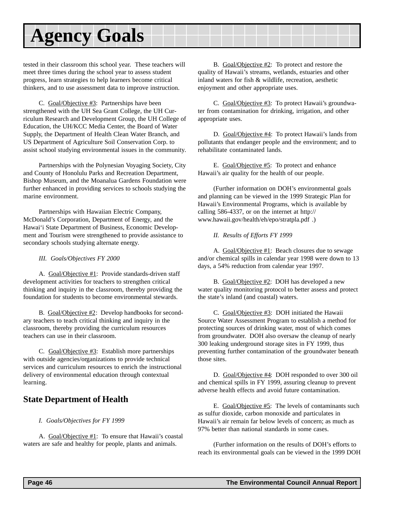<span id="page-45-0"></span>tested in their classroom this school year. These teachers will meet three times during the school year to assess student progress, learn strategies to help learners become critical thinkers, and to use assessment data to improve instruction.

C. Goal/Objective #3: Partnerships have been strengthened with the UH Sea Grant College, the UH Curriculum Research and Development Group, the UH College of Education, the UH/KCC Media Center, the Board of Water Supply, the Department of Health Clean Water Branch, and US Department of Agriculture Soil Conservation Corp. to assist school studying environmental issues in the community.

Partnerships with the Polynesian Voyaging Society, City and County of Honolulu Parks and Recreation Department, Bishop Museum, and the Moanalua Gardens Foundation were further enhanced in providing services to schools studying the marine environment.

Partnerships with Hawaiian Electric Company, McDonald's Corporation, Department of Energy, and the Hawai'i State Department of Business, Economic Development and Tourism were strengthened to provide assistance to secondary schools studying alternate energy.

#### *III. Goals/Objectives FY 2000*

A. Goal/Objective #1: Provide standards-driven staff development activities for teachers to strengthen critical thinking and inquiry in the classroom, thereby providing the foundation for students to become environmental stewards.

B. Goal/Objective #2: Develop handbooks for secondary teachers to teach critical thinking and inquiry in the classroom, thereby providing the curriculum resources teachers can use in their classroom.

C. Goal/Objective #3: Establish more partnerships with outside agencies/organizations to provide technical services and curriculum resources to enrich the instructional delivery of environmental education through contextual learning.

### **State Department of Health**

#### *I. Goals/Objectives for FY 1999*

A. Goal/Objective #1: To ensure that Hawaii's coastal waters are safe and healthy for people, plants and animals.

B. Goal/Objective #2: To protect and restore the quality of Hawaii's streams, wetlands, estuaries and other inland waters for fish & wildlife, recreation, aesthetic enjoyment and other appropriate uses.

C. Goal/Objective #3: To protect Hawaii's groundwater from contamination for drinking, irrigation, and other appropriate uses.

D. Goal/Objective #4: To protect Hawaii's lands from pollutants that endanger people and the environment; and to rehabilitate contaminated lands.

E. Goal/Objective #5: To protect and enhance Hawaii's air quality for the health of our people.

(Further information on DOH's environmental goals and planning can be viewed in the 1999 Strategic Plan for Hawaii's Environmental Programs, which is available by calling 586-4337, or on the internet at http:// www.hawaii.gov/health/eh/epo/stratpla.pdf .)

*II. Results of Efforts FY 1999*

A. Goal/Objective #1: Beach closures due to sewage and/or chemical spills in calendar year 1998 were down to 13 days, a 54% reduction from calendar year 1997.

B. Goal/Objective #2: DOH has developed a new water quality monitoring protocol to better assess and protect the state's inland (and coastal) waters.

C. Goal/Objective #3: DOH initiated the Hawaii Source Water Assessment Program to establish a method for protecting sources of drinking water, most of which comes from groundwater. DOH also oversaw the cleanup of nearly 300 leaking underground storage sites in FY 1999, thus preventing further contamination of the groundwater beneath those sites.

D. Goal/Objective #4: DOH responded to over 300 oil and chemical spills in FY 1999, assuring cleanup to prevent adverse health effects and avoid future contamination.

E. Goal/Objective #5: The levels of contaminants such as sulfur dioxide, carbon monoxide and particulates in Hawaii's air remain far below levels of concern; as much as 97% better than national standards in some cases.

(Further information on the results of DOH's efforts to reach its environmental goals can be viewed in the 1999 DOH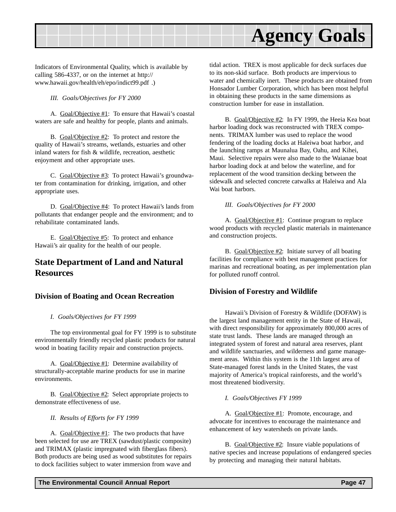<span id="page-46-0"></span>

Indicators of Environmental Quality, which is available by calling 586-4337, or on the internet at http:// www.hawaii.gov/health/eh/epo/indict99.pdf .)

*III. Goals/Objectives for FY 2000*

A. Goal/Objective #1: To ensure that Hawaii's coastal waters are safe and healthy for people, plants and animals.

B. Goal/Objective #2: To protect and restore the quality of Hawaii's streams, wetlands, estuaries and other inland waters for fish & wildlife, recreation, aesthetic enjoyment and other appropriate uses.

C. Goal/Objective #3: To protect Hawaii's groundwater from contamination for drinking, irrigation, and other appropriate uses.

D. Goal/Objective #4: To protect Hawaii's lands from pollutants that endanger people and the environment; and to rehabilitate contaminated lands.

E. Goal/Objective #5: To protect and enhance Hawaii's air quality for the health of our people.

### **State Department of Land and Natural Resources**

#### **Division of Boating and Ocean Recreation**

#### *I. Goals/Objectives for FY 1999*

The top environmental goal for FY 1999 is to substitute environmentally friendly recycled plastic products for natural wood in boating facility repair and construction projects.

A. Goal/Objective #1: Determine availability of structurally-acceptable marine products for use in marine environments.

B. Goal/Objective #2: Select appropriate projects to demonstrate effectiveness of use.

*II. Results of Efforts for FY 1999*

A. Goal/Objective #1: The two products that have been selected for use are TREX (sawdust/plastic composite) and TRIMAX (plastic impregnated with fiberglass fibers). Both products are being used as wood substitutes for repairs to dock facilities subject to water immersion from wave and

tidal action. TREX is most applicable for deck surfaces due to its non-skid surface. Both products are impervious to water and chemically inert. These products are obtained from Honsador Lumber Corporation, which has been most helpful in obtaining these products in the same dimensions as construction lumber for ease in installation.

B. Goal/Objective #2: In FY 1999, the Heeia Kea boat harbor loading dock was reconstructed with TREX components. TRIMAX lumber was used to replace the wood fendering of the loading docks at Haleiwa boat harbor, and the launching ramps at Maunalua Bay, Oahu, and Kihei, Maui. Selective repairs were also made to the Waianae boat harbor loading dock at and below the waterline, and for replacement of the wood transition decking between the sidewalk and selected concrete catwalks at Haleiwa and Ala Wai boat harbors.

#### *III. Goals/Objectives for FY 2000*

A. Goal/Objective #1: Continue program to replace wood products with recycled plastic materials in maintenance and construction projects.

B. Goal/Objective #2: Initiate survey of all boating facilities for compliance with best management practices for marinas and recreational boating, as per implementation plan for polluted runoff control.

#### **Division of Forestry and Wildlife**

Hawaii's Division of Forestry & Wildlife (DOFAW) is the largest land management entity in the State of Hawaii, with direct responsibility for approximately 800,000 acres of state trust lands. These lands are managed through an integrated system of forest and natural area reserves, plant and wildlife sanctuaries, and wilderness and game management areas. Within this system is the 11th largest area of State-managed forest lands in the United States, the vast majority of America's tropical rainforests, and the world's most threatened biodiversity.

#### *I. Goals/Objectives FY 1999*

A. Goal/Objective #1: Promote, encourage, and advocate for incentives to encourage the maintenance and enhancement of key watersheds on private lands.

B. Goal/Objective #2: Insure viable populations of native species and increase populations of endangered species by protecting and managing their natural habitats.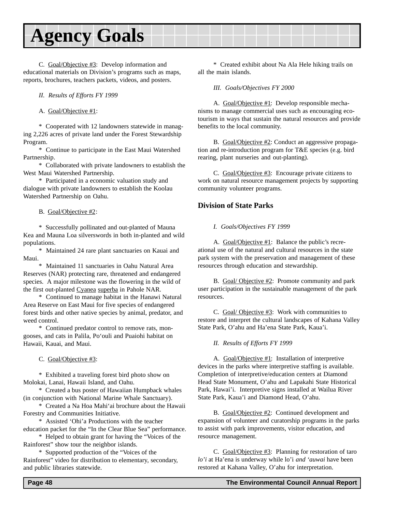<span id="page-47-0"></span>C. Goal/Objective #3: Develop information and educational materials on Division's programs such as maps, reports, brochures, teachers packets, videos, and posters.

*II. Results of Efforts FY 1999*

A. Goal/Objective #1:

\* Cooperated with 12 landowners statewide in managing 2,226 acres of private land under the Forest Stewardship Program.

\* Continue to participate in the East Maui Watershed Partnership.

\* Collaborated with private landowners to establish the West Maui Watershed Partnership.

\* Participated in a economic valuation study and dialogue with private landowners to establish the Koolau Watershed Partnership on Oahu.

B. Goal/Objective #2:

\* Successfully pollinated and out-planted of Mauna Kea and Mauna Loa silverswords in both in-planted and wild populations.

\* Maintained 24 rare plant sanctuaries on Kauai and Maui.

\* Maintained 11 sanctuaries in Oahu Natural Area Reserves (NAR) protecting rare, threatened and endangered species. A major milestone was the flowering in the wild of the first out-planted Cyanea superba in Pahole NAR.

\* Continued to manage habitat in the Hanawi Natural Area Reserve on East Maui for five species of endangered forest birds and other native species by animal, predator, and weed control.

\* Continued predator control to remove rats, mongooses, and cats in Palila, Po'ouli and Puaiohi habitat on Hawaii, Kauai, and Maui.

C. Goal/Objective #3:

\* Exhibited a traveling forest bird photo show on Molokai, Lanai, Hawaii Island, and Oahu.

\* Created a bus poster of Hawaiian Humpback whales (in conjunction with National Marine Whale Sanctuary).

\* Created a Na Hoa Mahi'ai brochure about the Hawaii Forestry and Communities Initiative.

\* Assisted 'Ohi'a Productions with the teacher education packet for the "In the Clear Blue Sea" performance.

\* Helped to obtain grant for having the "Voices of the Rainforest" show tour the neighbor islands.

\* Supported production of the "Voices of the Rainforest" video for distribution to elementary, secondary, and public libraries statewide.

\* Created exhibit about Na Ala Hele hiking trails on all the main islands.

*III. Goals/Objectives FY 2000*

A. Goal/Objective #1: Develop responsible mechanisms to manage commercial uses such as encouraging ecotourism in ways that sustain the natural resources and provide benefits to the local community.

B. Goal/Objective #2: Conduct an aggressive propagation and re-introduction program for T&E species (e.g. bird rearing, plant nurseries and out-planting).

C. Goal/Objective #3: Encourage private citizens to work on natural resource management projects by supporting community volunteer programs.

#### **Division of State Parks**

*I. Goals/Objectives FY 1999*

A. Goal/Objective #1: Balance the public's recreational use of the natural and cultural resources in the state park system with the preservation and management of these resources through education and stewardship.

B. Goal/ Objective #2: Promote community and park user participation in the sustainable management of the park resources.

C. Goal/ Objective #3: Work with communities to restore and interpret the cultural landscapes of Kahana Valley State Park, O'ahu and Ha'ena State Park, Kaua'i.

*II. Results of Efforts FY 1999*

A. Goal/Objective #1: Installation of interpretive devices in the parks where interpretive staffing is available. Completion of interpretive/education centers at Diamond Head State Monument, O'ahu and Lapakahi State Historical Park, Hawai'i. Interpretive signs installed at Wailua River State Park, Kaua'i and Diamond Head, O'ahu.

B. Goal/Objective #2: Continued development and expansion of volunteer and curatorship programs in the parks to assist with park improvements, visitor education, and resource management.

C. Goal/Objective #3: Planning for restoration of taro *lo'i* at Ha'ena is underway while lo'i *and 'auwai* have been restored at Kahana Valley, O'ahu for interpretation.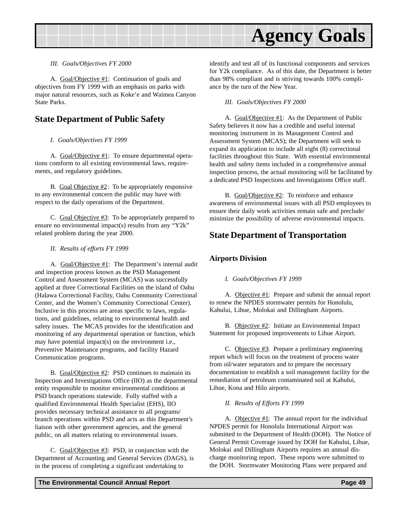<span id="page-48-0"></span>

#### *III. Goals/Objectives FY 2000*

A. Goal/Objective #1: Continuation of goals and objectives from FY 1999 with an emphasis on parks with major natural resources, such as Koke'e and Waimea Canyon State Parks.

### **State Department of Public Safety**

#### *I. Goals/Objectives FY 1999*

A. Goal/Objective #1: To ensure departmental operations comform to all existing environmental laws, requirements, and regulatory guidelines.

B. Goal Objective #2: To be appropriately responsive to any environmental concern the public may have with respect to the daily operations of the Department.

C. Goal Objective #3: To be appropriately prepared to ensure no environmental impact(s) results from any "Y2k" related problem during the year 2000.

*II. Results of efforts FY 1999*

A. Goal/Objective #1: The Department's internal audit and inspection process known as the PSD Management Control and Assessment System (MCAS) was successfully applied at three Correctional Facilities on the island of Oahu (Halawa Correctional Facility, Oahu Community Correctional Center, and the Women's Community Correctional Center). Inclusive in this process are areas specific to laws, regulations, and guidelines, relating to environmental health and safety issues. The MCAS provides for the identification and monitoring of any departmental operation or function, which may have potential impact(s) on the environment i.e., Preventive Maintenance programs, and facility Hazard Communication programs.

B. Goal/Objective #2: PSD continues to maintain its Inspection and Investigations Office (IIO) as the departmental entity responsible to monitor environmental conditions at PSD branch operations statewide. Fully staffed with a qualified Environmental Health Specialist (EHS), IIO provides necessary technical assistance to all programs/ branch operations within PSD and acts as this Department's liaison with other government agencies, and the general public, on all matters relating to environmental issues.

C. Goal/Objective #3: PSD, in conjunction with the Department of Accounting and General Services (DAGS), is in the process of completing a significant undertaking to

identify and test all of its functional components and services for Y2k compliance. As of this date, the Department is better than 98% compliant and is striving towards 100% compliance by the turn of the New Year.

*III. Goals/Objectives FY 2000*

A. Goal/Objective #1: As the Department of Public Safety believes it now has a credible and useful internal monitoring instrument in its Management Control and Assessment System (MCAS); the Department will seek to expand its application to include all eight (8) correctional facilities throughout this State. With essential environmental health and safety items included in a comprehensive annual inspection process, the actual monitoring will be facilitated by a dedicated PSD Inspections and Investigations Office staff.

B. Goal/Objective #2: To reinforce and enhance awareness of environmental issues with all PSD employees to ensure their daily work activities remain safe and preclude/ minimize the possibility of adverse environmental impacts.

#### **State Department of Transportation**

#### **Airports Division**

#### *I. Goals/Objectives FY 1999*

A. Objective #1: Prepare and submit the annual report to renew the NPDES stormwater permits for Honolulu, Kahului, Lihue, Molokai and Dillingham Airports.

B. Objective #2: Initiate an Environmental Impact Statement for proposed improvements to Lihue Airport.

C. Objective #3: Prepare a preliminary engineering report which will focus on the treatment of process water from oil/water separators and to prepare the necessary documentation to establish a soil management facility for the remediation of petroleum contaminated soil at Kahului, Lihue, Kona and Hilo airports.

#### *II. Results of Efforts FY 1999*

A. Objective #1: The annual report for the individual NPDES permit for Honolulu International Airport was submitted to the Department of Health (DOH). The Notice of General Permit Coverage issued by DOH for Kahului, Lihue, Molokai and Dillingham Airports requires an annual discharge monitoring report. These reports were submitted to the DOH. Stormwater Monitoring Plans were prepared and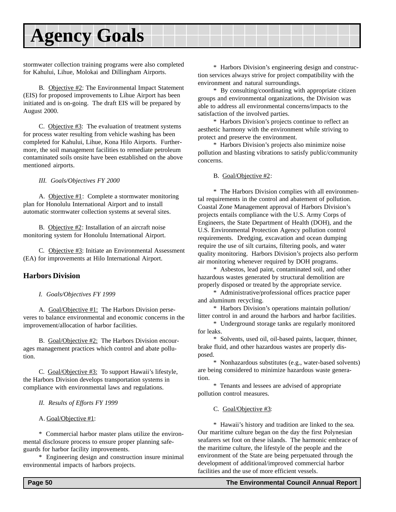<span id="page-49-0"></span>stormwater collection training programs were also completed for Kahului, Lihue, Molokai and Dillingham Airports.

B. Objective #2: The Environmental Impact Statement (EIS) for proposed improvements to Lihue Airport has been initiated and is on-going. The draft EIS will be prepared by August 2000.

C. Objective #3: The evaluation of treatment systems for process water resulting from vehicle washing has been completed for Kahului, Lihue, Kona Hilo Airports. Furthermore, the soil management facilities to remediate petroleum contaminated soils onsite have been established on the above mentioned airports.

*III. Goals/Objectives FY 2000*

A. Objective #1: Complete a stormwater monitoring plan for Honolulu International Airport and to install automatic stormwater collection systems at several sites.

B. Objective #2: Installation of an aircraft noise monitoring system for Honolulu International Airport.

C. Objective #3: Initiate an Environmental Assessment (EA) for improvements at Hilo International Airport.

#### **Harbors Division**

*I. Goals/Objectives FY 1999*

A. Goal/Objective #1: The Harbors Division perseveres to balance environmental and economic concerns in the improvement/allocation of harbor facilities.

B. Goal/Objective #2: The Harbors Division encourages management practices which control and abate pollution.

C. Goal/Objective #3: To support Hawaii's lifestyle, the Harbors Division develops transportation systems in compliance with environmental laws and regulations.

*II. Results of Efforts FY 1999*

A. Goal/Objective #1:

\* Commercial harbor master plans utilize the environmental disclosure process to ensure proper planning safeguards for harbor facility improvements.

\* Engineering design and construction insure minimal environmental impacts of harbors projects.

\* Harbors Division's engineering design and construction services always strive for project compatibility with the environment and natural surroundings.

\* By consulting/coordinating with appropriate citizen groups and environmental organizations, the Division was able to address all environmental concerns/impacts to the satisfaction of the involved parties.

\* Harbors Division's projects continue to reflect an aesthetic harmony with the environment while striving to protect and preserve the environment.

\* Harbors Division's projects also minimize noise pollution and blasting vibrations to satisfy public/community concerns.

#### B. Goal/Objective #2:

\* The Harbors Division complies with all environmental requirements in the control and abatement of pollution. Coastal Zone Management approval of Harbors Division's projects entails compliance with the U.S. Army Corps of Engineers, the State Department of Health (DOH), and the U.S. Environmental Protection Agency pollution control requirements. Dredging, excavation and ocean dumping require the use of silt curtains, filtering pools, and water quality monitoring. Harbors Division's projects also perform air monitoring whenever required by DOH programs.

\* Asbestos, lead paint, contaminated soil, and other hazardous wastes generated by structural demolition are properly disposed or treated by the appropriate service.

\* Administrative/professional offices practice paper and aluminum recycling.

\* Harbors Division's operations maintain pollution/ litter control in and around the harbors and harbor facilities.

\* Underground storage tanks are regularly monitored for leaks.

\* Solvents, used oil, oil-based paints, lacquer, thinner, brake fluid, and other hazardous wastes are properly disposed.

\* Nonhazardous substitutes (e.g., water-based solvents) are being considered to minimize hazardous waste generation.

\* Tenants and lessees are advised of appropriate pollution control measures.

C. Goal/Objective #3:

\* Hawaii's history and tradition are linked to the sea. Our maritime culture began on the day the first Polynesian seafarers set foot on these islands. The harmonic embrace of the maritime culture, the lifestyle of the people and the environment of the State are being perpetuated through the development of additional/improved commercial harbor facilities and the use of more efficient vessels.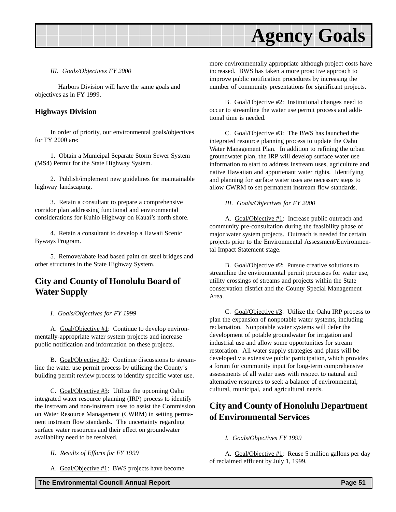#### <span id="page-50-0"></span>*III. Goals/Objectives FY 2000*

Harbors Division will have the same goals and objectives as in FY 1999.

#### **Highways Division**

In order of priority, our environmental goals/objectives for FY 2000 are:

1. Obtain a Municipal Separate Storm Sewer System (MS4) Permit for the State Highway System.

2. Publish/implement new guidelines for maintainable highway landscaping.

3. Retain a consultant to prepare a comprehensive corridor plan addressing functional and environmental considerations for Kuhio Highway on Kauai's north shore.

4. Retain a consultant to develop a Hawaii Scenic Byways Program.

5. Remove/abate lead based paint on steel bridges and other structures in the State Highway System.

### **City and County of Honolulu Board of Water Supply**

#### *I. Goals/Objectives for FY 1999*

A. Goal/Objective #1: Continue to develop environmentally-appropriate water system projects and increase public notification and information on these projects.

B. Goal/Objective #2: Continue discussions to streamline the water use permit process by utilizing the County's building permit review process to identify specific water use.

C. Goal/Objective #3: Utilize the upcoming Oahu integrated water resource planning (IRP) process to identify the instream and non-instream uses to assist the Commission on Water Resource Management (CWRM) in setting permanent instream flow standards. The uncertainty regarding surface water resources and their effect on groundwater availability need to be resolved.

*II. Results of Efforts for FY 1999*

A. Goal/Objective #1: BWS projects have become

more environmentally appropriate although project costs have increased. BWS has taken a more proactive approach to improve public notification procedures by increasing the number of community presentations for significant projects.

B. Goal/Objective #2: Institutional changes need to occur to streamline the water use permit process and additional time is needed.

C. Goal/Objective #3: The BWS has launched the integrated resource planning process to update the Oahu Water Management Plan. In addition to refining the urban groundwater plan, the IRP will develop surface water use information to start to address instream uses, agriculture and native Hawaiian and appurtenant water rights. Identifying and planning for surface water uses are necessary steps to allow CWRM to set permanent instream flow standards.

#### *III. Goals/Objectives for FY 2000*

A. Goal/Objective #1: Increase public outreach and community pre-consultation during the feasibility phase of major water system projects. Outreach is needed for certain projects prior to the Environmental Assessment/Environmental Impact Statement stage.

B. Goal/Objective #2: Pursue creative solutions to streamline the environmental permit processes for water use, utility crossings of streams and projects within the State conservation district and the County Special Management Area.

C. Goal/Objective #3: Utilize the Oahu IRP process to plan the expansion of nonpotable water systems, including reclamation. Nonpotable water systems will defer the development of potable groundwater for irrigation and industrial use and allow some opportunities for stream restoration. All water supply strategies and plans will be developed via extensive public participation, which provides a forum for community input for long-term comprehensive assessments of all water uses with respect to natural and alternative resources to seek a balance of environmental, cultural, municipal, and agricultural needs.

### **City and County of Honolulu Department of Environmental Services**

#### *I. Goals/Objectives FY 1999*

A. Goal/Objective #1: Reuse 5 million gallons per day of reclaimed effluent by July 1, 1999.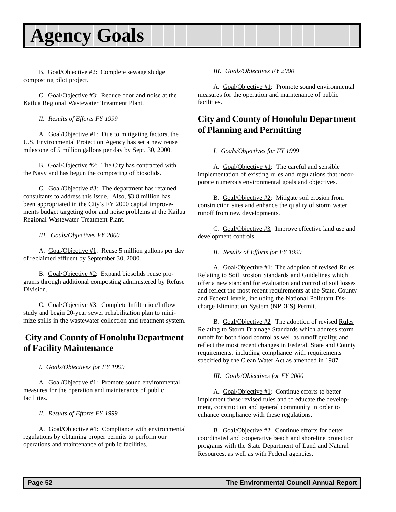<span id="page-51-0"></span>B. Goal/Objective #2: Complete sewage sludge composting pilot project.

C. Goal/Objective #3: Reduce odor and noise at the Kailua Regional Wastewater Treatment Plant.

*II. Results of Efforts FY 1999*

A. Goal/Objective #1: Due to mitigating factors, the U.S. Environmental Protection Agency has set a new reuse milestone of 5 million gallons per day by Sept. 30, 2000.

B. Goal/Objective #2: The City has contracted with the Navy and has begun the composting of biosolids.

C. Goal/Objective #3: The department has retained consultants to address this issue. Also, \$3.8 million has been appropriated in the City's FY 2000 capital improvements budget targeting odor and noise problems at the Kailua Regional Wastewater Treatment Plant.

*III. Goals/Objectives FY 2000*

A. Goal/Objective #1: Reuse 5 million gallons per day of reclaimed effluent by September 30, 2000.

B. Goal/Objective #2: Expand biosolids reuse programs through additional composting administered by Refuse Division.

C. Goal/Objective #3: Complete Infiltration/Inflow study and begin 20-year sewer rehabilitation plan to minimize spills in the wastewater collection and treatment system.

### **City and County of Honolulu Department of Facility Maintenance**

*I. Goals/Objectives for FY 1999*

A. Goal/Objective #1: Promote sound environmental measures for the operation and maintenance of public facilities.

*II. Results of Efforts FY 1999*

A. Goal/Objective #1: Compliance with environmental regulations by obtaining proper permits to perform our operations and maintenance of public facilities.

#### *III. Goals/Objectives FY 2000*

A. Goal/Objective #1: Promote sound environmental measures for the operation and maintenance of public facilities.

### **City and County of Honolulu Department of Planning and Permitting**

*I. Goals/Objectives for FY 1999*

A. Goal/Objective #1: The careful and sensible implementation of existing rules and regulations that incorporate numerous environmental goals and objectives.

B. Goal/Objective #2: Mitigate soil erosion from construction sites and enhance the quality of storm water runoff from new developments.

C. Goal/Objective #3: Improve effective land use and development controls.

*II. Results of Efforts for FY 1999*

A. Goal/Objective #1: The adoption of revised Rules Relating to Soil Erosion Standards and Guidelines which offer a new standard for evaluation and control of soil losses and reflect the most recent requirements at the State, County and Federal levels, including the National Pollutant Discharge Elimination System (NPDES) Permit.

B. Goal/Objective #2: The adoption of revised Rules Relating to Storm Drainage Standards which address storm runoff for both flood control as well as runoff quality, and reflect the most recent changes in Federal, State and County requirements, including compliance with requirements specified by the Clean Water Act as amended in 1987.

*III. Goals/Objectives for FY 2000*

A. Goal/Objective #1: Continue efforts to better implement these revised rules and to educate the development, construction and general community in order to enhance compliance with these regulations.

B. Goal/Objective #2: Continue efforts for better coordinated and cooperative beach and shoreline protection programs with the State Department of Land and Natural Resources, as well as with Federal agencies.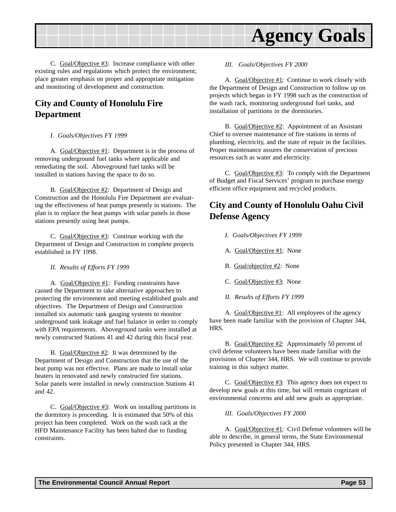<span id="page-52-0"></span>

C. Goal/Objective #3: Increase compliance with other existing rules and regulations which protect the environment; place greater emphasis on proper and appropriate mitigation and monitoring of development and construction.

### **City and County of Honolulu Fire Department**

#### *I. Goals/Objectives FY 1999*

A. Goal/Objective #1: Department is in the process of removing underground fuel tanks where applicable and remediating the soil. Aboveground fuel tanks will be installed in stations having the space to do so.

B. Goal/Objective #2: Department of Design and Construction and the Honolulu Fire Department are evaluating the effectiveness of heat pumps presently in stations. The plan is to replace the heat pumps with solar panels in those stations presently using heat pumps.

C. Goal/Objective #3: Continue working with the Department of Design and Construction to complete projects established in FY 1998.

*II. Results of Efforts FY 1999*

A. Goal/Objective #1: Funding constraints have caused the Department to take alternative approaches to protecting the environment and meeting established goals and objectives. The Department of Design and Construction installed six automatic tank gauging systems to monitor underground tank leakage and fuel balance in order to comply with EPA requirements. Aboveground tanks were installed at newly constructed Stations 41 and 42 during this fiscal year.

B. Goal/Objective #2: It was determined by the Department of Design and Construction that the use of the heat pump was not effective. Plans are made to install solar heaters in renovated and newly constructed fire stations. Solar panels were installed in newly construction Stations 41 and 42.

C.  $Goal/Objective #3$ : Work on installing partitions in the dormitory is proceeding. It is estimated that 50% of this project has been completed. Work on the wash rack at the HFD Maintenance Facility has been halted due to funding constraints.

*III. Goals/Objectives FY 2000*

A. Goal/Objective #1: Continue to work closely with the Department of Design and Construction to follow up on projects which began in FY 1998 such as the construction of the wash rack, monitoring underground fuel tanks, and installation of partitions in the dormitories.

B. Goal/Objective #2: Appointment of an Assistant Chief to oversee maintenance of fire stations in terms of plumbing, electricity, and the state of repair in the facilities. Proper maintenance assures the conservation of precious resources such as water and electricity.

C. Goal/Objective #3: To comply with the Department of Budget and Fiscal Services' program to purchase energy efficient office equipment and recycled products.

# **City and County of Honolulu Oahu Civil Defense Agency**

- *I. Goals/Objectives FY 1999*
- A. Goal/Objective #1: None
- B. Goal/objective #2: None
- C. Goal/Objective #3: None
- *II. Results of Efforts FY 1999*

A. Goal/Objective #1: All employees of the agency have been made familiar with the provision of Chapter 344, HRS.

B. Goal/Objective #2: Approximately 50 percent of civil defense volunteers have been made familiar with the provisions of Chapter 344, HRS. We will continue to provide training in this subject matter.

C. Goal/Objective #3: This agency does not expect to develop new goals at this time, but will remain cognizant of environmental concerns and add new goals as appropriate.

*III. Goals/Objectives FY 2000*

A. Goal/Objective #1: Civil Defense volunteers will be able to describe, in general terms, the State Environmental Policy presented in Chapter 344, HRS.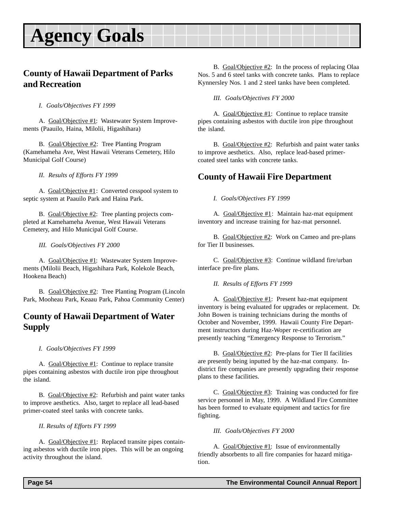### <span id="page-53-0"></span>**County of Hawaii Department of Parks and Recreation**

*I. Goals/Objectives FY 1999*

A. Goal/Objective #1: Wastewater System Improvements (Paauilo, Haina, Milolii, Higashihara)

B. Goal/Objective #2: Tree Planting Program (Kamehameha Ave, West Hawaii Veterans Cemetery, Hilo Municipal Golf Course)

*II. Results of Efforts FY 1999*

A. Goal/Objective #1: Converted cesspool system to septic system at Paauilo Park and Haina Park.

B. Goal/Objective #2: Tree planting projects completed at Kamehameha Avenue, West Hawaii Veterans Cemetery, and Hilo Municipal Golf Course.

*III. Goals/Objectives FY 2000*

A. Goal/Objective #1: Wastewater System Improvements (Milolii Beach, Higashihara Park, Kolekole Beach, Hookena Beach)

B. Goal/Objective #2: Tree Planting Program (Lincoln Park, Mooheau Park, Keaau Park, Pahoa Community Center)

### **County of Hawaii Department of Water Supply**

*I. Goals/Objectives FY 1999*

A. Goal/Objective #1: Continue to replace transite pipes containing asbestos with ductile iron pipe throughout the island.

B. Goal/Objective #2: Refurbish and paint water tanks to improve aesthetics. Also, target to replace all lead-based primer-coated steel tanks with concrete tanks.

*II. Results of Efforts FY 1999*

A. Goal/Objective #1: Replaced transite pipes containing asbestos with ductile iron pipes. This will be an ongoing activity throughout the island.

B. Goal/Objective #2: In the process of replacing Olaa Nos. 5 and 6 steel tanks with concrete tanks. Plans to replace Kynnersley Nos. 1 and 2 steel tanks have been completed.

*III. Goals/Objectives FY 2000*

A. Goal/Objective #1: Continue to replace transite pipes containing asbestos with ductile iron pipe throughout the island.

B. Goal/Objective #2: Refurbish and paint water tanks to improve aesthetics. Also, replace lead-based primercoated steel tanks with concrete tanks.

# **County of Hawaii Fire Department**

*I. Goals/Objectives FY 1999*

A. Goal/Objective #1: Maintain haz-mat equipment inventory and increase training for haz-mat personnel.

B. Goal/Objective #2: Work on Cameo and pre-plans for Tier II businesses.

C. Goal/Objective #3: Continue wildland fire/urban interface pre-fire plans.

*II. Results of Efforts FY 1999*

A. Goal/Objective #1: Present haz-mat equipment inventory is being evaluated for upgrades or replacement. Dr. John Bowen is training technicians during the months of October and November, 1999. Hawaii County Fire Department instructors during Haz-Woper re-certification are presently teaching "Emergency Response to Terrorism."

B. Goal/Objective #2: Pre-plans for Tier II facilities are presently being inputted by the haz-mat company. Indistrict fire companies are presently upgrading their response plans to these facilities.

C. Goal/Objective #3: Training was conducted for fire service personnel in May, 1999. A Wildland Fire Committee has been formed to evaluate equipment and tactics for fire fighting.

*III. Goals/Objectives FY 2000*

A. Goal/Objective #1: Issue of environmentally friendly absorbents to all fire companies for hazard mitigation.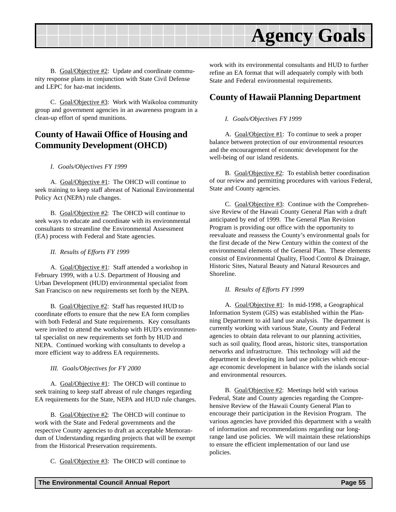<span id="page-54-0"></span>

B. Goal/Objective #2: Update and coordinate community response plans in conjunction with State Civil Defense and LEPC for haz-mat incidents.

C. Goal/Objective #3: Work with Waikoloa community group and government agencies in an awareness program in a clean-up effort of spend munitions.

### **County of Hawaii Office of Housing and Community Development (OHCD)**

#### *I. Goals/Objectives FY 1999*

A. Goal/Objective #1: The OHCD will continue to seek training to keep staff abreast of National Environmental Policy Act (NEPA) rule changes.

B. Goal/Objective #2: The OHCD will continue to seek ways to educate and coordinate with its environmental consultants to streamline the Environmental Assessment (EA) process with Federal and State agencies.

#### *II. Results of Efforts FY 1999*

A. Goal/Objective #1: Staff attended a workshop in February 1999, with a U.S. Department of Housing and Urban Development (HUD) environmental specialist from San Francisco on new requirements set forth by the NEPA.

B. Goal/Objective #2: Staff has requested HUD to coordinate efforts to ensure that the new EA form complies with both Federal and State requirements. Key consultants were invited to attend the workshop with HUD's environmental specialist on new requirements set forth by HUD and NEPA. Continued working with consultants to develop a more efficient way to address EA requirements.

*III. Goals/Objectives for FY 2000*

A. Goal/Objective #1: The OHCD will continue to seek training to keep staff abreast of rule changes regarding EA requirements for the State, NEPA and HUD rule changes.

B. Goal/Objective #2: The OHCD will continue to work with the State and Federal governments and the respective County agencies to draft an acceptable Memorandum of Understanding regarding projects that will be exempt from the Historical Preservation requirements.

C. Goal/Objective #3: The OHCD will continue to

work with its environmental consultants and HUD to further refine an EA format that will adequately comply with both State and Federal environmental requirements.

### **County of Hawaii Planning Department**

#### *I. Goals/Objectives FY 1999*

A. Goal/Objective #1: To continue to seek a proper balance between protection of our environmental resources and the encouragement of economic development for the well-being of our island residents.

B. Goal/Objective #2: To establish better coordination of our review and permitting procedures with various Federal, State and County agencies.

C. Goal/Objective #3: Continue with the Comprehensive Review of the Hawaii County General Plan with a draft anticipated by end of 1999. The General Plan Revision Program is providing our office with the opportunity to reevaluate and reassess the County's environmental goals for the first decade of the New Century within the context of the environmental elements of the General Plan. These elements consist of Environmental Quality, Flood Control & Drainage, Historic Sites, Natural Beauty and Natural Resources and Shoreline.

#### *II. Results of Efforts FY 1999*

A. Goal/Objective #1: In mid-1998, a Geographical Information System (GIS) was established within the Planning Department to aid land use analysis. The department is currently working with various State, County and Federal agencies to obtain data relevant to our planning activities, such as soil quality, flood areas, historic sites, transportation networks and infrastructure. This technology will aid the department in developing its land use policies which encourage economic development in balance with the islands social and environmental resources.

B. Goal/Objective #2: Meetings held with various Federal, State and County agencies regarding the Comprehensive Review of the Hawaii County General Plan to encourage their participation in the Revision Program. The various agencies have provided this department with a wealth of information and recommendations regarding our longrange land use policies. We will maintain these relationships to ensure the efficient implementation of our land use policies.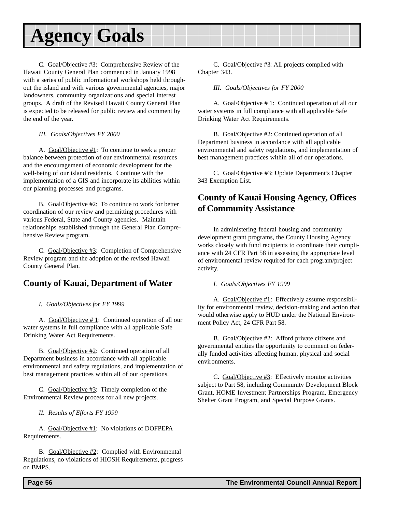<span id="page-55-0"></span>C. Goal/Objective #3: Comprehensive Review of the Hawaii County General Plan commenced in January 1998 with a series of public informational workshops held throughout the island and with various governmental agencies, major landowners, community organizations and special interest groups. A draft of the Revised Hawaii County General Plan is expected to be released for public review and comment by the end of the year.

#### *III. Goals/Objectives FY 2000*

A. Goal/Objective #1: To continue to seek a proper balance between protection of our environmental resources and the encouragement of economic development for the well-being of our island residents. Continue with the implementation of a GIS and incorporate its abilities within our planning processes and programs.

B. Goal/Objective #2: To continue to work for better coordination of our review and permitting procedures with various Federal, State and County agencies. Maintain relationships established through the General Plan Comprehensive Review program.

C. Goal/Objective #3: Completion of Comprehensive Review program and the adoption of the revised Hawaii County General Plan.

### **County of Kauai, Department of Water**

#### *I. Goals/Objectives for FY 1999*

A.  $Goal/Objective # 1$ : Continued operation of all our water systems in full compliance with all applicable Safe Drinking Water Act Requirements.

B. Goal/Objective #2: Continued operation of all Department business in accordance with all applicable environmental and safety regulations, and implementation of best management practices within all of our operations.

C. Goal/Objective #3: Timely completion of the Environmental Review process for all new projects.

*II. Results of Efforts FY 1999*

A. Goal/Objective #1: No violations of DOFPEPA Requirements.

B. Goal/Objective #2: Complied with Environmental Regulations, no violations of HIOSH Requirements, progress on BMPS.

C. Goal/Objective #3: All projects complied with Chapter 343.

*III. Goals/Objectives for FY 2000*

A. Goal/Objective # 1: Continued operation of all our water systems in full compliance with all applicable Safe Drinking Water Act Requirements.

B. Goal/Objective #2: Continued operation of all Department business in accordance with all applicable environmental and safety regulations, and implementation of best management practices within all of our operations.

C. Goal/Objective #3: Update Department's Chapter 343 Exemption List.

# **County of Kauai Housing Agency, Offices of Community Assistance**

In administering federal housing and community development grant programs, the County Housing Agency works closely with fund recipients to coordinate their compliance with 24 CFR Part 58 in assessing the appropriate level of environmental review required for each program/project activity.

*I. Goals/Objectives FY 1999*

A. Goal/Objective #1: Effectively assume responsibility for environmental review, decision-making and action that would otherwise apply to HUD under the National Environment Policy Act, 24 CFR Part 58.

B. Goal/Objective #2: Afford private citizens and governmental entities the opportunity to comment on federally funded activities affecting human, physical and social environments.

C. Goal/Objective #3: Effectively monitor activities subject to Part 58, including Community Development Block Grant, HOME Investment Partnerships Program, Emergency Shelter Grant Program, and Special Purpose Grants.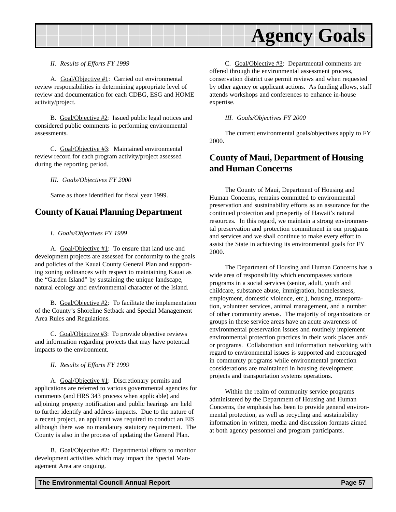<span id="page-56-0"></span>

*II. Results of Efforts FY 1999*

A. Goal/Objective #1: Carried out environmental review responsibilities in determining appropriate level of review and documentation for each CDBG, ESG and HOME activity/project.

B. Goal/Objective #2: Issued public legal notices and considered public comments in performing environmental assessments.

C. Goal/Objective #3: Maintained environmental review record for each program activity/project assessed during the reporting period.

*III. Goals/Objectives FY 2000*

Same as those identified for fiscal year 1999.

#### **County of Kauai Planning Department**

#### *I. Goals/Objectives FY 1999*

A. Goal/Objective #1: To ensure that land use and development projects are assessed for conformity to the goals and policies of the Kauai County General Plan and supporting zoning ordinances with respect to maintaining Kauai as the "Garden Island" by sustaining the unique landscape, natural ecology and environmental character of the Island.

B. Goal/Objective #2: To facilitate the implementation of the County's Shoreline Setback and Special Management Area Rules and Regulations.

C. Goal/Objective #3: To provide objective reviews and information regarding projects that may have potential impacts to the environment.

*II. Results of Efforts FY 1999*

A. Goal/Objective #1: Discretionary permits and applications are referred to various governmental agencies for comments (and HRS 343 process when applicable) and adjoining property notification and public hearings are held to further identify and address impacts. Due to the nature of a recent project, an applicant was required to conduct an EIS although there was no mandatory statutory requirement. The County is also in the process of updating the General Plan.

B. Goal/Objective #2: Departmental efforts to monitor development activities which may impact the Special Management Area are ongoing.

C. Goal/Objective #3: Departmental comments are offered through the environmental assessment process, conservation district use permit reviews and when requested by other agency or applicant actions. As funding allows, staff attends workshops and conferences to enhance in-house expertise.

*III. Goals/Objectives FY 2000*

The current environmental goals/objectives apply to FY 2000.

### **County of Maui, Department of Housing and Human Concerns**

The County of Maui, Department of Housing and Human Concerns, remains committed to environmental preservation and sustainability efforts as an assurance for the continued protection and prosperity of Hawaii's natural resources. In this regard, we maintain a strong environmental preservation and protection commitment in our programs and services and we shall continue to make every effort to assist the State in achieving its environmental goals for FY 2000.

The Department of Housing and Human Concerns has a wide area of responsibility which encompasses various programs in a social services (senior, adult, youth and childcare, substance abuse, immigration, homelessness, employment, domestic violence, etc.), housing, transportation, volunteer services, animal management, and a number of other community arenas. The majority of organizations or groups in these service areas have an acute awareness of environmental preservation issues and routinely implement environmental protection practices in their work places and/ or programs. Collaboration and information networking with regard to environmental issues is supported and encouraged in community programs while environmental protection considerations are maintained in housing development projects and transportation systems operations.

Within the realm of community service programs administered by the Department of Housing and Human Concerns, the emphasis has been to provide general environmental protection, as well as recycling and sustainability information in written, media and discussion formats aimed at both agency personnel and program participants.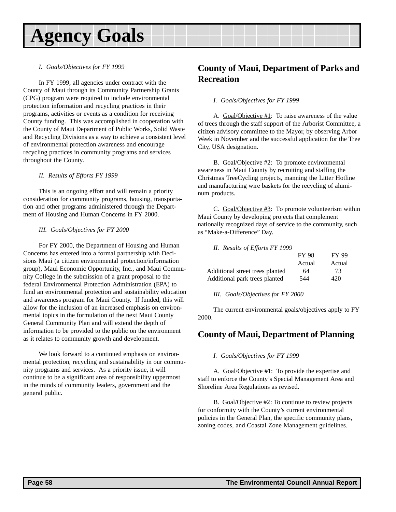#### <span id="page-57-0"></span>*I. Goals/Objectives for FY 1999*

In FY 1999, all agencies under contract with the County of Maui through its Community Partnership Grants (CPG) program were required to include environmental protection information and recycling practices in their programs, activities or events as a condition for receiving County funding. This was accomplished in cooperation with the County of Maui Department of Public Works, Solid Waste and Recycling Divisions as a way to achieve a consistent level of environmental protection awareness and encourage recycling practices in community programs and services throughout the County.

#### *II. Results of Efforts FY 1999*

This is an ongoing effort and will remain a priority consideration for community programs, housing, transportation and other programs administered through the Department of Housing and Human Concerns in FY 2000.

#### *III. Goals/Objectives for FY 2000*

For FY 2000, the Department of Housing and Human Concerns has entered into a formal partnership with Decisions Maui (a citizen environmental protection/information group), Maui Economic Opportunity, Inc., and Maui Community College in the submission of a grant proposal to the federal Environmental Protection Administration (EPA) to fund an environmental protection and sustainability education and awareness program for Maui County. If funded, this will allow for the inclusion of an increased emphasis on environmental topics in the formulation of the next Maui County General Community Plan and will extend the depth of information to be provided to the public on the environment as it relates to community growth and development.

We look forward to a continued emphasis on environmental protection, recycling and sustainability in our community programs and services. As a priority issue, it will continue to be a significant area of responsibility uppermost in the minds of community leaders, government and the general public.

### **County of Maui, Department of Parks and Recreation**

#### *I. Goals/Objectives for FY 1999*

A. Goal/Objective #1: To raise awareness of the value of trees through the staff support of the Arborist Committee, a citizen advisory committee to the Mayor, by observing Arbor Week in November and the successful application for the Tree City, USA designation.

B. Goal/Objective #2: To promote environmental awareness in Maui County by recruiting and staffing the Christmas TreeCycling projects, manning the Litter Hotline and manufacturing wire baskets for the recycling of aluminum products.

C. Goal/Objective #3: To promote volunteerism within Maui County by developing projects that complement nationally recognized days of service to the community, such as "Make-a-Difference" Day.

| II. Results of Efforts FY 1999  |              |              |
|---------------------------------|--------------|--------------|
|                                 | <b>FY 98</b> | <b>FY 99</b> |
|                                 | Actual       | Actual       |
| Additional street trees planted | 64           | 73           |
| Additional park trees planted   | 544          | 420          |

#### *III. Goals/Objectives for FY 2000*

The current environmental goals/objectives apply to FY 2000.

### **County of Maui, Department of Planning**

#### *I. Goals/Objectives for FY 1999*

A. Goal/Objective #1: To provide the expertise and staff to enforce the County's Special Management Area and Shoreline Area Regulations as revised.

B. Goal/Objective #2: To continue to review projects for conformity with the County's current environmental policies in the General Plan, the specific community plans, zoning codes, and Coastal Zone Management guidelines.